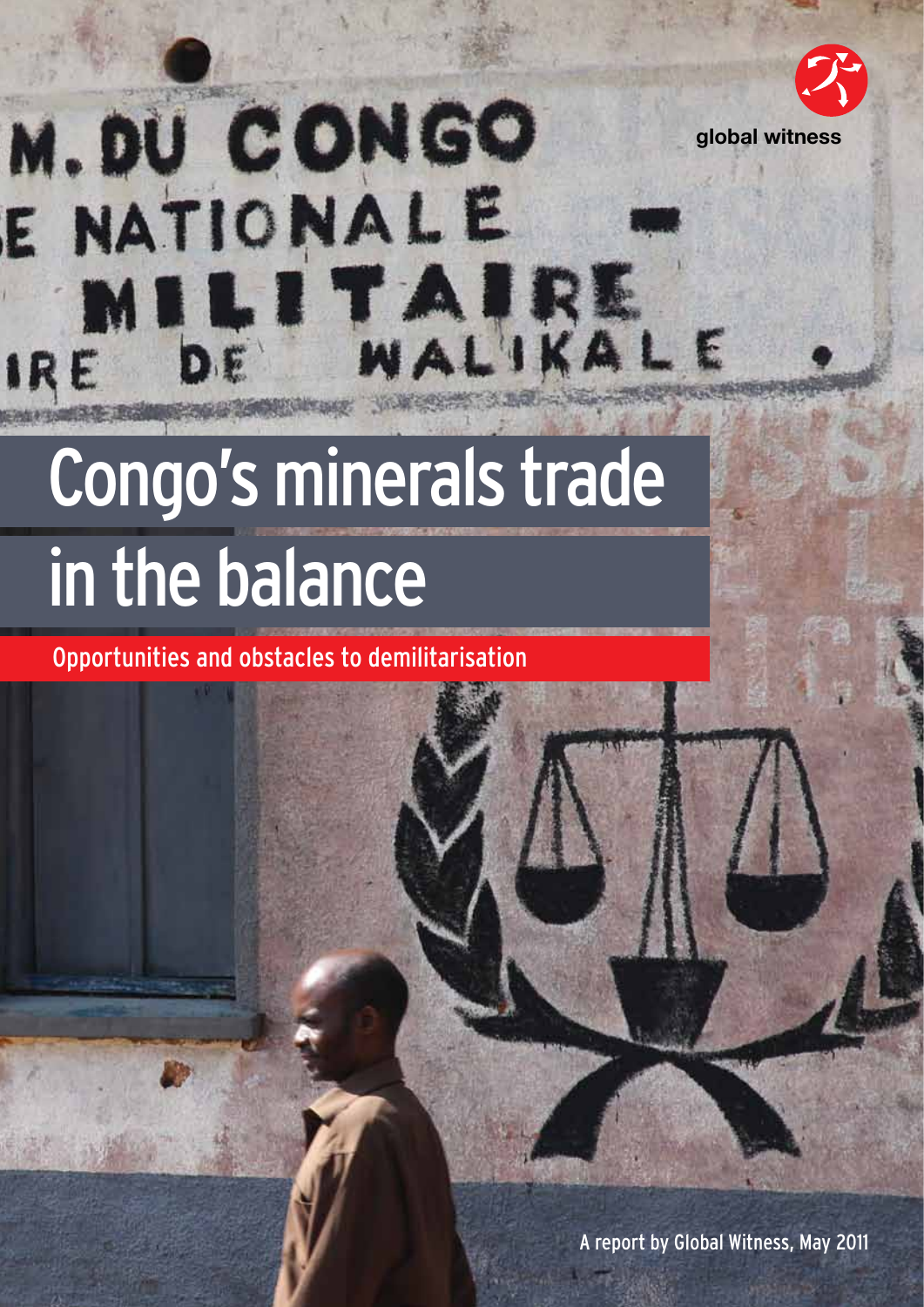

# M. DU CONGO E NATIONAL E LITAIRE .

## Congo's minerals trade in the balance

Opportunities and obstacles to demilitarisation

A report by Global Witness, May 2011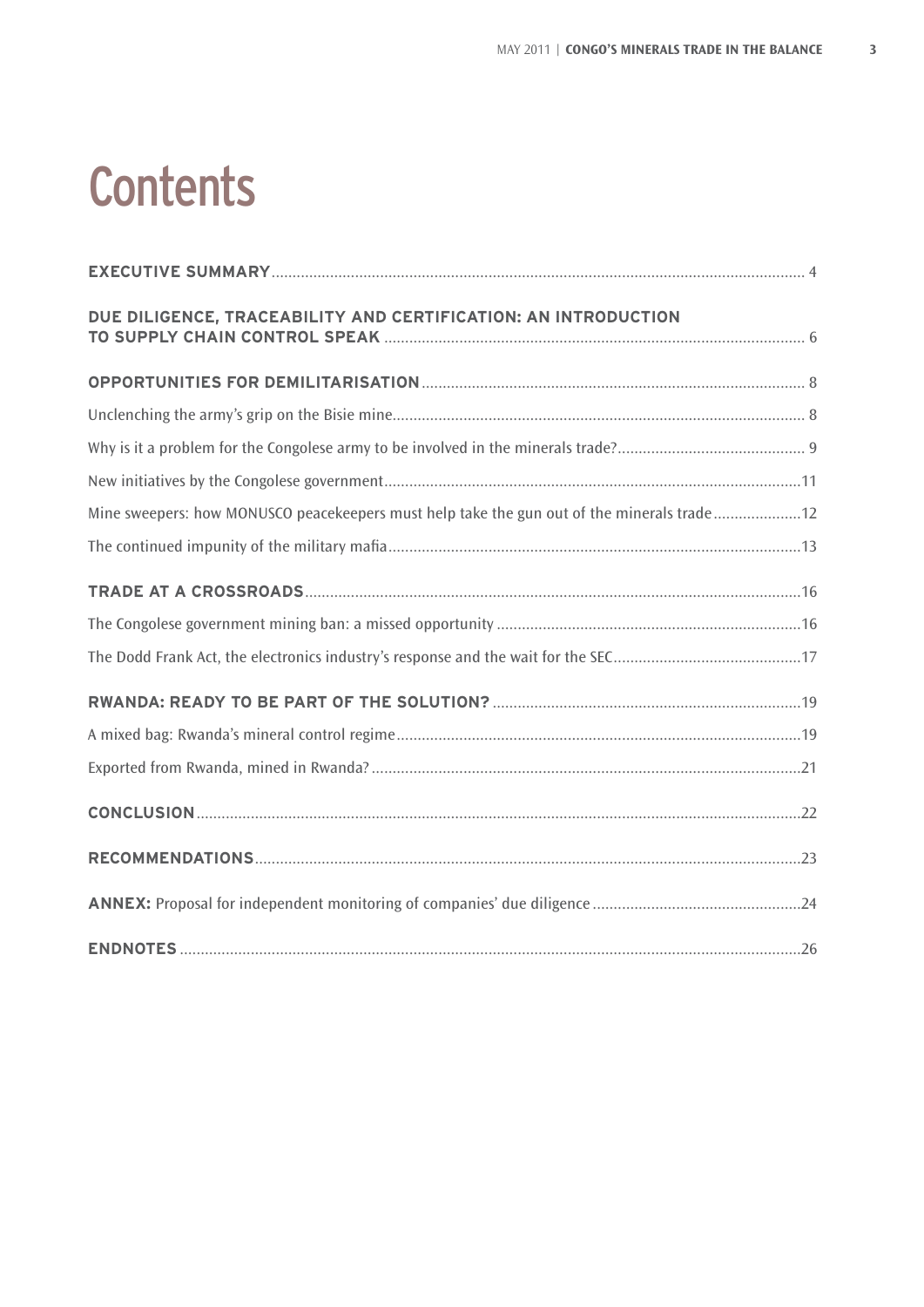### **Contents**

| DUE DILIGENCE, TRACEABILITY AND CERTIFICATION: AN INTRODUCTION                             |  |
|--------------------------------------------------------------------------------------------|--|
|                                                                                            |  |
|                                                                                            |  |
|                                                                                            |  |
|                                                                                            |  |
| Mine sweepers: how MONUSCO peacekeepers must help take the gun out of the minerals trade12 |  |
|                                                                                            |  |
|                                                                                            |  |
|                                                                                            |  |
|                                                                                            |  |
|                                                                                            |  |
|                                                                                            |  |
|                                                                                            |  |
|                                                                                            |  |
|                                                                                            |  |
|                                                                                            |  |
|                                                                                            |  |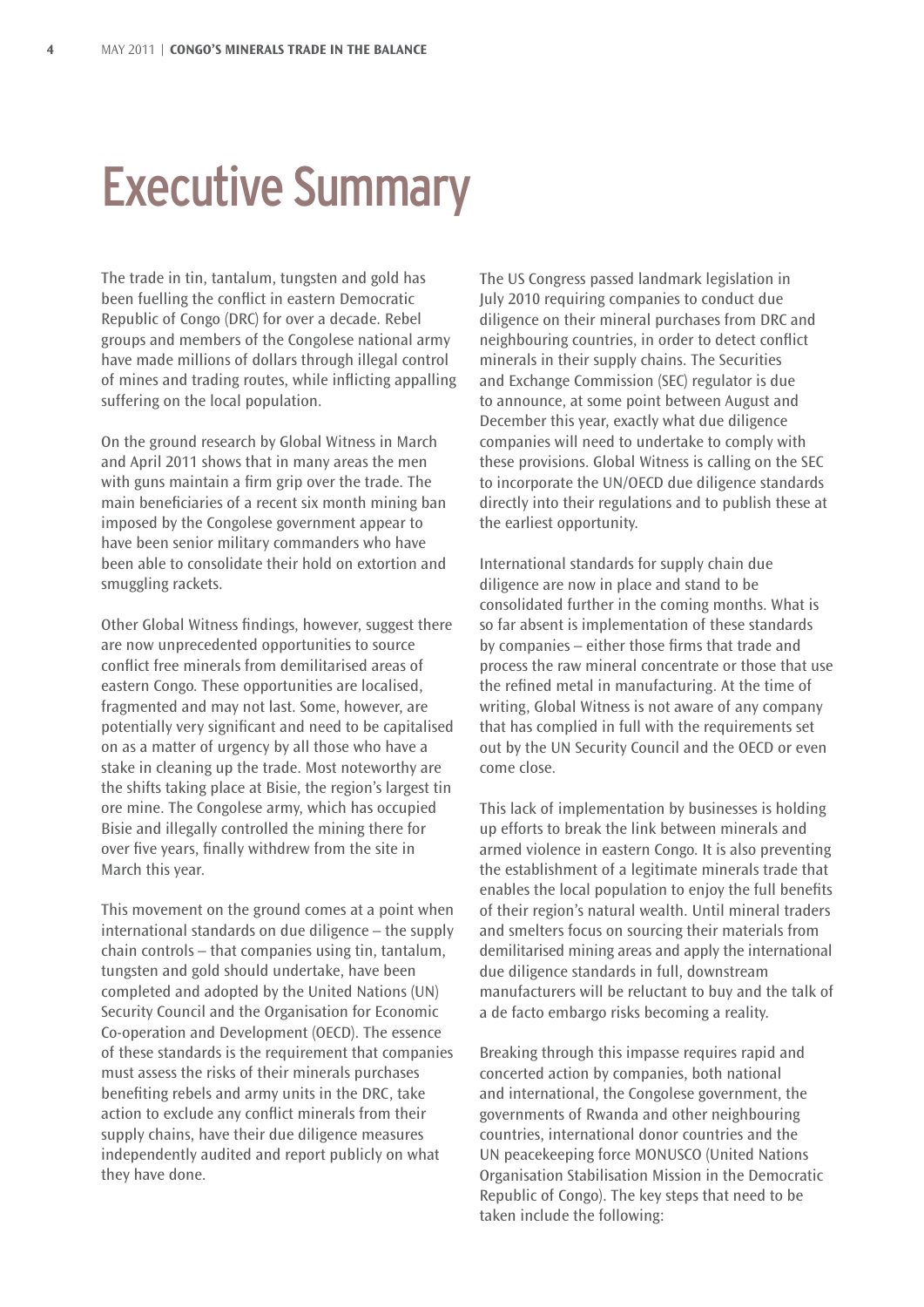### Executive Summary

The trade in tin, tantalum, tungsten and gold has been fuelling the conflict in eastern Democratic Republic of Congo (DRC) for over a decade. Rebel groups and members of the Congolese national army have made millions of dollars through illegal control of mines and trading routes, while inflicting appalling suffering on the local population.

On the ground research by Global Witness in March and April 2011 shows that in many areas the men with guns maintain a firm grip over the trade. The main beneficiaries of a recent six month mining ban imposed by the Congolese government appear to have been senior military commanders who have been able to consolidate their hold on extortion and smuggling rackets.

Other Global Witness findings, however, suggest there are now unprecedented opportunities to source conflict free minerals from demilitarised areas of eastern Congo. These opportunities are localised, fragmented and may not last. Some, however, are potentially very significant and need to be capitalised on as a matter of urgency by all those who have a stake in cleaning up the trade. Most noteworthy are the shifts taking place at Bisie, the region's largest tin ore mine. The Congolese army, which has occupied Bisie and illegally controlled the mining there for over five years, finally withdrew from the site in March this year.

This movement on the ground comes at a point when international standards on due diligence – the supply chain controls – that companies using tin, tantalum, tungsten and gold should undertake, have been completed and adopted by the United Nations (UN) Security Council and the Organisation for Economic Co-operation and Development (OECD). The essence of these standards is the requirement that companies must assess the risks of their minerals purchases benefiting rebels and army units in the DRC, take action to exclude any conflict minerals from their supply chains, have their due diligence measures independently audited and report publicly on what they have done.

The US Congress passed landmark legislation in July 2010 requiring companies to conduct due diligence on their mineral purchases from DRC and neighbouring countries, in order to detect conflict minerals in their supply chains. The Securities and Exchange Commission (SEC) regulator is due to announce, at some point between August and December this year, exactly what due diligence companies will need to undertake to comply with these provisions. Global Witness is calling on the SEC to incorporate the UN/OECD due diligence standards directly into their regulations and to publish these at the earliest opportunity.

International standards for supply chain due diligence are now in place and stand to be consolidated further in the coming months. What is so far absent is implementation of these standards by companies – either those firms that trade and process the raw mineral concentrate or those that use the refined metal in manufacturing. At the time of writing, Global Witness is not aware of any company that has complied in full with the requirements set out by the UN Security Council and the OECD or even come close.

This lack of implementation by businesses is holding up efforts to break the link between minerals and armed violence in eastern Congo. It is also preventing the establishment of a legitimate minerals trade that enables the local population to enjoy the full benefits of their region's natural wealth. Until mineral traders and smelters focus on sourcing their materials from demilitarised mining areas and apply the international due diligence standards in full, downstream manufacturers will be reluctant to buy and the talk of a de facto embargo risks becoming a reality.

Breaking through this impasse requires rapid and concerted action by companies, both national and international, the Congolese government, the governments of Rwanda and other neighbouring countries, international donor countries and the UN peacekeeping force MONUSCO (United Nations Organisation Stabilisation Mission in the Democratic Republic of Congo). The key steps that need to be taken include the following: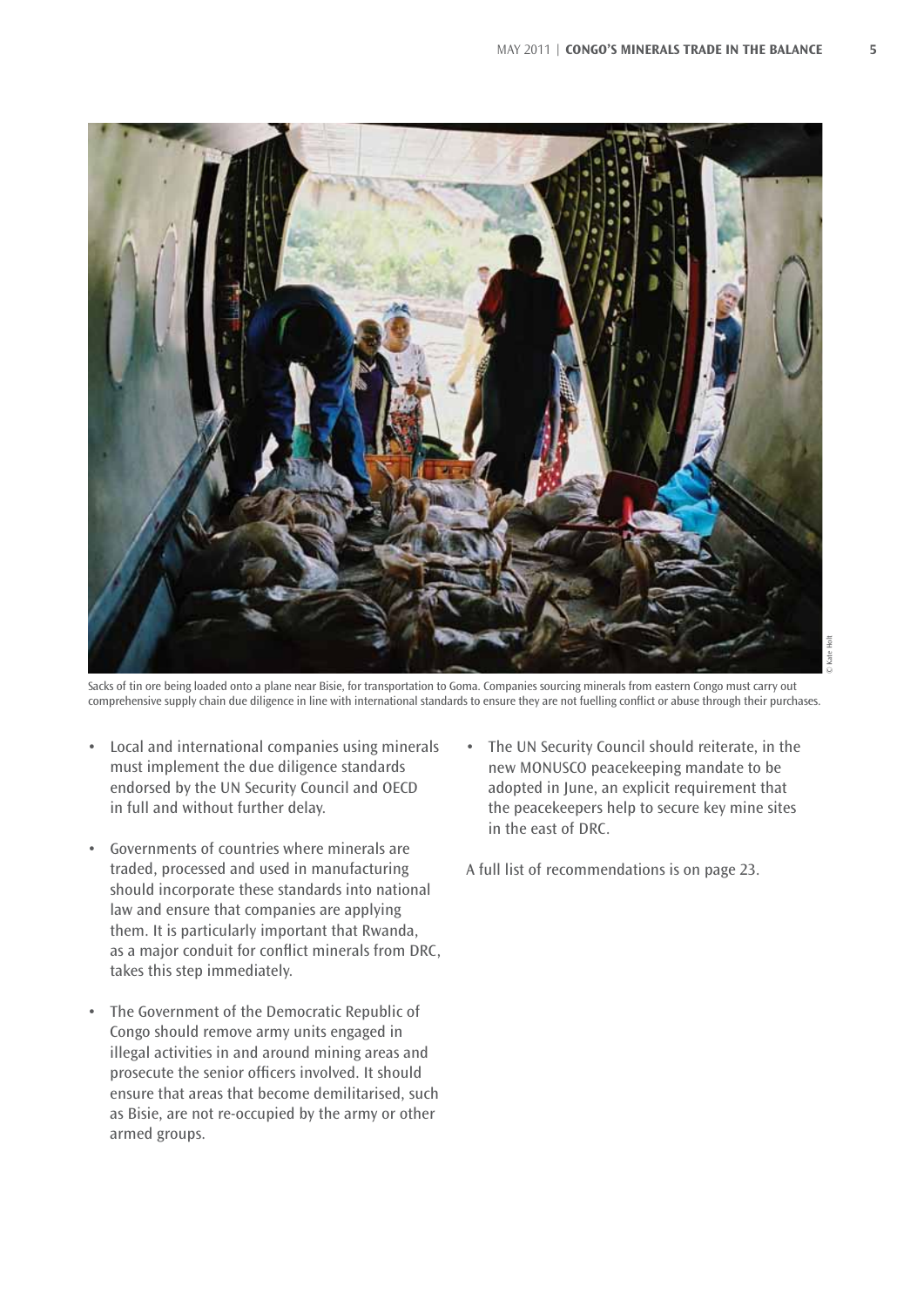

Sacks of tin ore being loaded onto a plane near Bisie, for transportation to Goma. Companies sourcing minerals from eastern Congo must carry out comprehensive supply chain due diligence in line with international standards to ensure they are not fuelling conflict or abuse through their purchases.

- • Local and international companies using minerals must implement the due diligence standards endorsed by the UN Security Council and OECD in full and without further delay.
- Governments of countries where minerals are traded, processed and used in manufacturing should incorporate these standards into national law and ensure that companies are applying them. It is particularly important that Rwanda, as a major conduit for conflict minerals from DRC, takes this step immediately.
- • The Government of the Democratic Republic of Congo should remove army units engaged in illegal activities in and around mining areas and prosecute the senior officers involved. It should ensure that areas that become demilitarised, such as Bisie, are not re-occupied by the army or other armed groups.

The UN Security Council should reiterate, in the new MONUSCO peacekeeping mandate to be adopted in June, an explicit requirement that the peacekeepers help to secure key mine sites in the east of DRC.

A full list of recommendations is on page 23.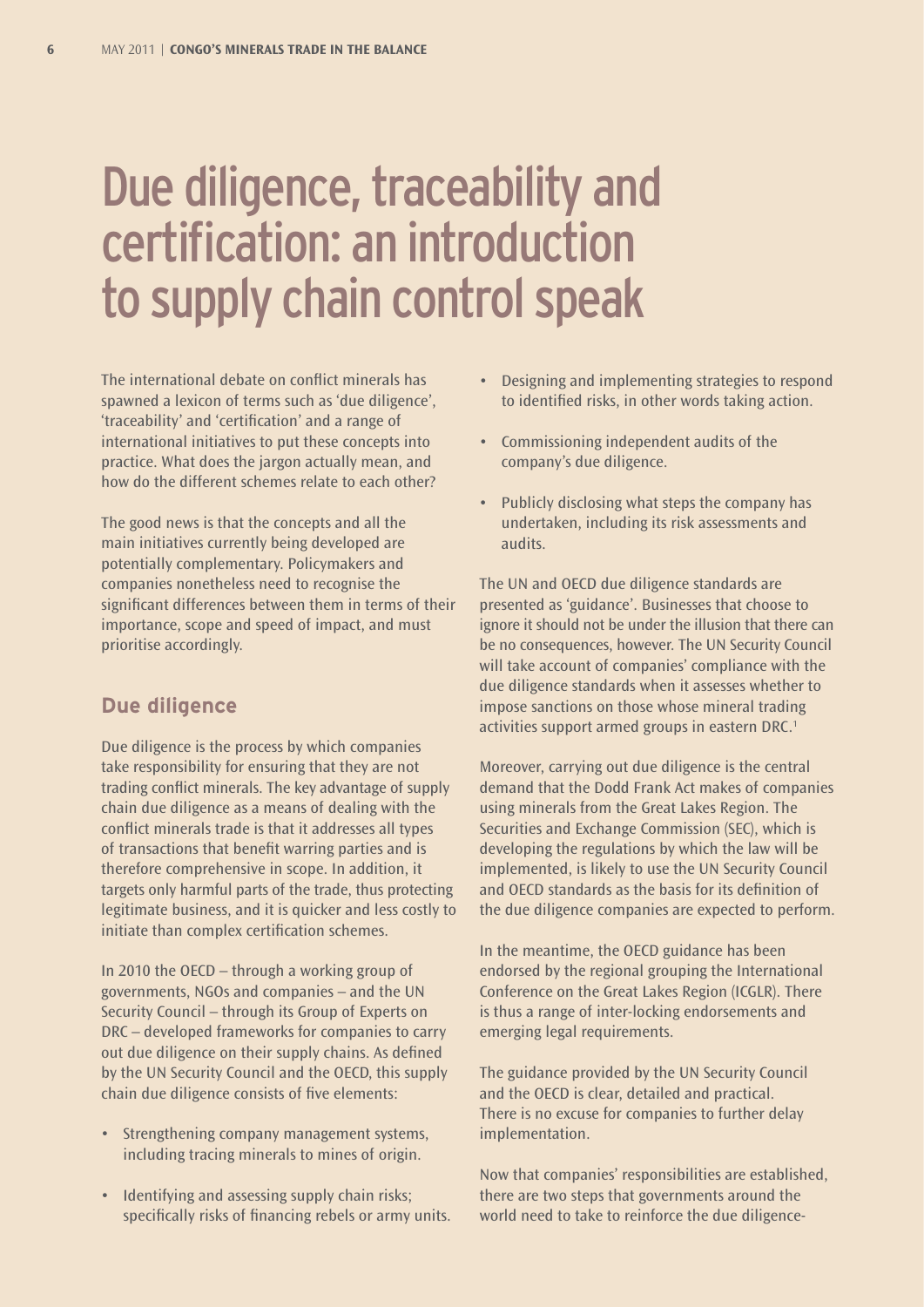### Due diligence, traceability and certification: an introduction to supply chain control speak

The international debate on conflict minerals has spawned a lexicon of terms such as 'due diligence', 'traceability' and 'certification' and a range of international initiatives to put these concepts into practice. What does the jargon actually mean, and how do the different schemes relate to each other?

The good news is that the concepts and all the main initiatives currently being developed are potentially complementary. Policymakers and companies nonetheless need to recognise the significant differences between them in terms of their importance, scope and speed of impact, and must prioritise accordingly.

#### **Due diligence**

Due diligence is the process by which companies take responsibility for ensuring that they are not trading conflict minerals. The key advantage of supply chain due diligence as a means of dealing with the conflict minerals trade is that it addresses all types of transactions that benefit warring parties and is therefore comprehensive in scope. In addition, it targets only harmful parts of the trade, thus protecting legitimate business, and it is quicker and less costly to initiate than complex certification schemes.

In 2010 the OECD – through a working group of governments, NGOs and companies – and the UN Security Council – through its Group of Experts on DRC – developed frameworks for companies to carry out due diligence on their supply chains. As defined by the UN Security Council and the OECD, this supply chain due diligence consists of five elements:

- Strengthening company management systems, including tracing minerals to mines of origin.
- Identifying and assessing supply chain risks; specifically risks of financing rebels or army units.
- Designing and implementing strategies to respond to identified risks, in other words taking action.
- • Commissioning independent audits of the company's due diligence.
- Publicly disclosing what steps the company has undertaken, including its risk assessments and audits.

The UN and OECD due diligence standards are presented as 'guidance'. Businesses that choose to ignore it should not be under the illusion that there can be no consequences, however. The UN Security Council will take account of companies' compliance with the due diligence standards when it assesses whether to impose sanctions on those whose mineral trading activities support armed groups in eastern DRC.<sup>1</sup>

Moreover, carrying out due diligence is the central demand that the Dodd Frank Act makes of companies using minerals from the Great Lakes Region. The Securities and Exchange Commission (SEC), which is developing the regulations by which the law will be implemented, is likely to use the UN Security Council and OECD standards as the basis for its definition of the due diligence companies are expected to perform.

In the meantime, the OECD guidance has been endorsed by the regional grouping the International Conference on the Great Lakes Region (ICGLR). There is thus a range of inter-locking endorsements and emerging legal requirements.

The guidance provided by the UN Security Council and the OECD is clear, detailed and practical. There is no excuse for companies to further delay implementation.

Now that companies' responsibilities are established, there are two steps that governments around the world need to take to reinforce the due diligence-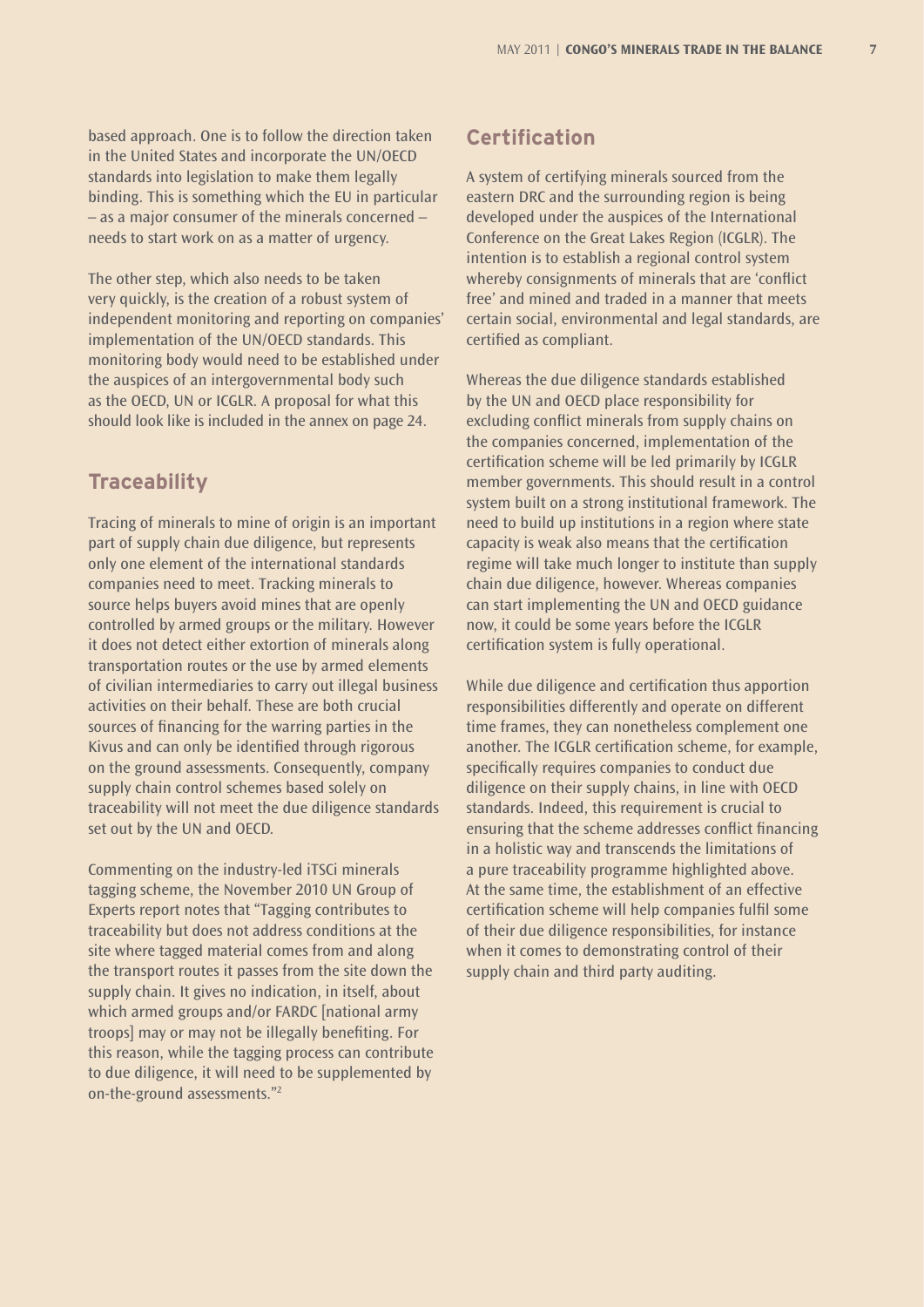based approach. One is to follow the direction taken in the United States and incorporate the UN/OECD standards into legislation to make them legally binding. This is something which the EU in particular – as a major consumer of the minerals concerned – needs to start work on as a matter of urgency.

The other step, which also needs to be taken very quickly, is the creation of a robust system of independent monitoring and reporting on companies' implementation of the UN/OECD standards. This monitoring body would need to be established under the auspices of an intergovernmental body such as the OECD, UN or ICGLR. A proposal for what this should look like is included in the annex on page 24.

#### **Traceability**

Tracing of minerals to mine of origin is an important part of supply chain due diligence, but represents only one element of the international standards companies need to meet. Tracking minerals to source helps buyers avoid mines that are openly controlled by armed groups or the military. However it does not detect either extortion of minerals along transportation routes or the use by armed elements of civilian intermediaries to carry out illegal business activities on their behalf. These are both crucial sources of financing for the warring parties in the Kivus and can only be identified through rigorous on the ground assessments. Consequently, company supply chain control schemes based solely on traceability will not meet the due diligence standards set out by the UN and OECD.

Commenting on the industry-led iTSCi minerals tagging scheme, the November 2010 UN Group of Experts report notes that "Tagging contributes to traceability but does not address conditions at the site where tagged material comes from and along the transport routes it passes from the site down the supply chain. It gives no indication, in itself, about which armed groups and/or FARDC [national army troops] may or may not be illegally benefiting. For this reason, while the tagging process can contribute to due diligence, it will need to be supplemented by on-the-ground assessments."2

#### **Certification**

A system of certifying minerals sourced from the eastern DRC and the surrounding region is being developed under the auspices of the International Conference on the Great Lakes Region (ICGLR). The intention is to establish a regional control system whereby consignments of minerals that are 'conflict free' and mined and traded in a manner that meets certain social, environmental and legal standards, are certified as compliant.

Whereas the due diligence standards established by the UN and OECD place responsibility for excluding conflict minerals from supply chains on the companies concerned, implementation of the certification scheme will be led primarily by ICGLR member governments. This should result in a control system built on a strong institutional framework. The need to build up institutions in a region where state capacity is weak also means that the certification regime will take much longer to institute than supply chain due diligence, however. Whereas companies can start implementing the UN and OECD guidance now, it could be some years before the ICGLR certification system is fully operational.

While due diligence and certification thus apportion responsibilities differently and operate on different time frames, they can nonetheless complement one another. The ICGLR certification scheme, for example, specifically requires companies to conduct due diligence on their supply chains, in line with OECD standards. Indeed, this requirement is crucial to ensuring that the scheme addresses conflict financing in a holistic way and transcends the limitations of a pure traceability programme highlighted above. At the same time, the establishment of an effective certification scheme will help companies fulfil some of their due diligence responsibilities, for instance when it comes to demonstrating control of their supply chain and third party auditing.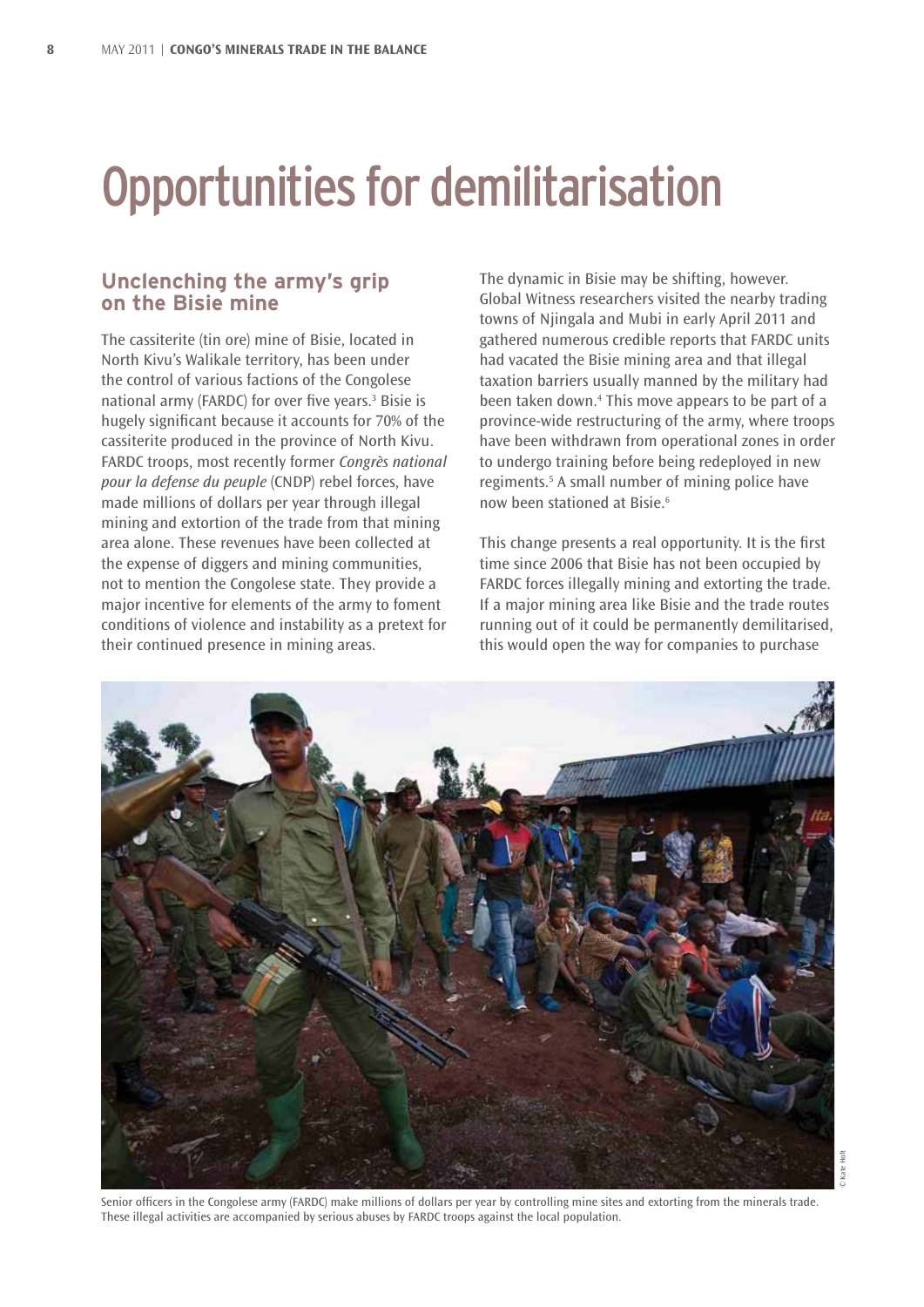### Opportunities for demilitarisation

#### **Unclenching the army's grip on the Bisie mine**

The cassiterite (tin ore) mine of Bisie, located in North Kivu's Walikale territory, has been under the control of various factions of the Congolese national army (FARDC) for over five years.<sup>3</sup> Bisie is hugely significant because it accounts for 70% of the cassiterite produced in the province of North Kivu. FARDC troops, most recently former *Congrès national pour la defense du peuple* (CNDP) rebel forces, have made millions of dollars per year through illegal mining and extortion of the trade from that mining area alone. These revenues have been collected at the expense of diggers and mining communities, not to mention the Congolese state. They provide a major incentive for elements of the army to foment conditions of violence and instability as a pretext for their continued presence in mining areas.

The dynamic in Bisie may be shifting, however. Global Witness researchers visited the nearby trading towns of Njingala and Mubi in early April 2011 and gathered numerous credible reports that FARDC units had vacated the Bisie mining area and that illegal taxation barriers usually manned by the military had been taken down.4 This move appears to be part of a province-wide restructuring of the army, where troops have been withdrawn from operational zones in order to undergo training before being redeployed in new regiments.5 A small number of mining police have now been stationed at Bisie.<sup>6</sup>

This change presents a real opportunity. It is the first time since 2006 that Bisie has not been occupied by FARDC forces illegally mining and extorting the trade. If a major mining area like Bisie and the trade routes running out of it could be permanently demilitarised, this would open the way for companies to purchase



Senior officers in the Congolese army (FARDC) make millions of dollars per year by controlling mine sites and extorting from the minerals trade. These illegal activities are accompanied by serious abuses by FARDC troops against the local population.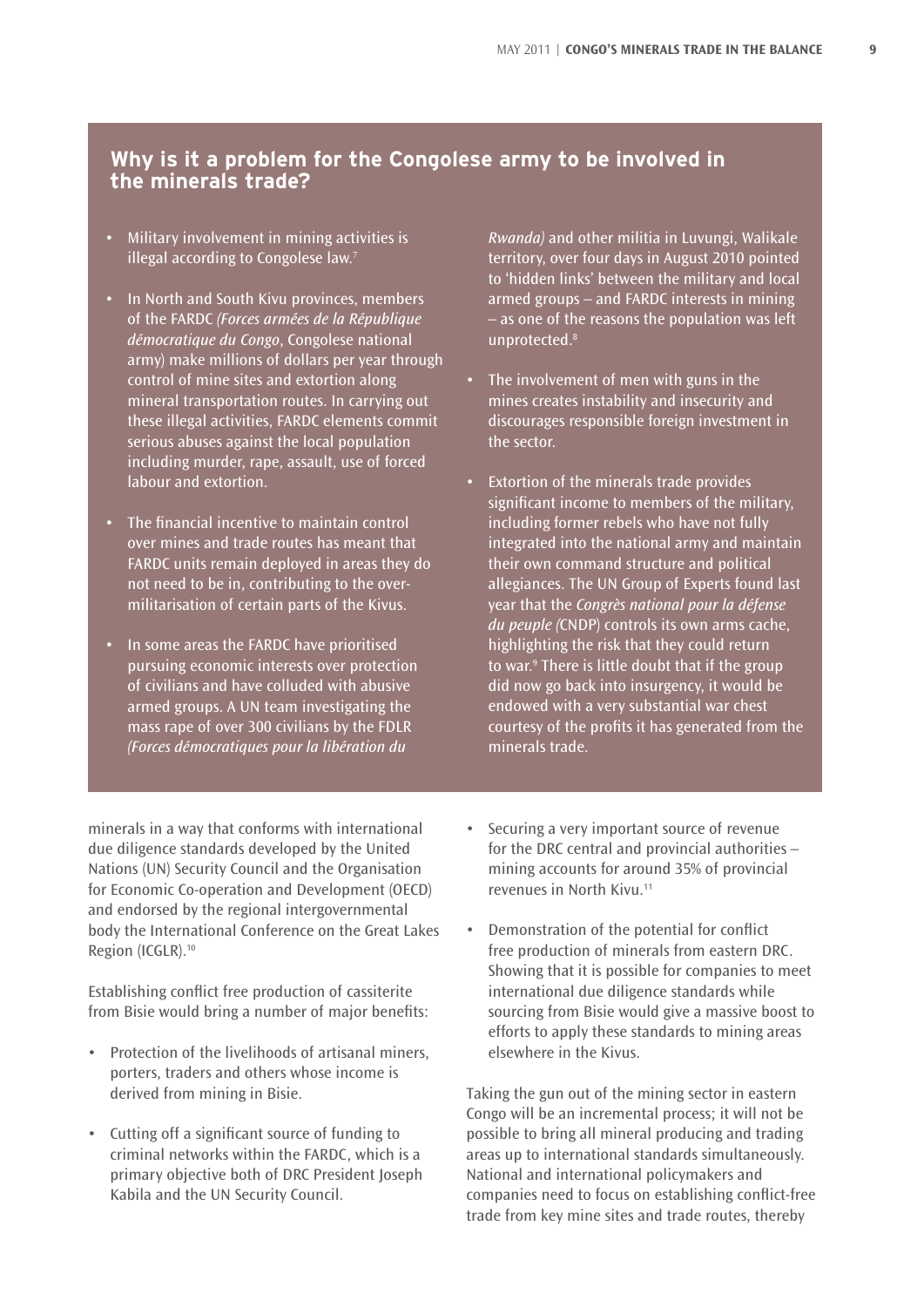#### **Why is it a problem for the Congolese army to be involved in the minerals trade?**

- Military involvement in mining activities is illegal according to Congolese law.<sup>7</sup>
- In North and South Kivu provinces, members of the FARDC *(Forces armées de la République démocratique du Congo*, Congolese national army) make millions of dollars per year through control of mine sites and extortion along mineral transportation routes. In carrying out these illegal activities, FARDC elements commit serious abuses against the local population including murder, rape, assault, use of forced labour and extortion.
- The financial incentive to maintain control over mines and trade routes has meant that FARDC units remain deployed in areas they do not need to be in, contributing to the overmilitarisation of certain parts of the Kivus.
- In some areas the FARDC have prioritised pursuing economic interests over protection of civilians and have colluded with abusive armed groups. A UN team investigating the mass rape of over 300 civilians by the FDLR *(Forces démocratiques pour la libération du*

*Rwanda)* and other militia in Luvungi, Walikale territory, over four days in August 2010 pointed to 'hidden links' between the military and local armed groups – and FARDC interests in mining – as one of the reasons the population was left unprotected.<sup>8</sup>

- The involvement of men with guns in the mines creates instability and insecurity and discourages responsible foreign investment in the sector.
- Extortion of the minerals trade provides significant income to members of the military, including former rebels who have not fully integrated into the national army and maintain their own command structure and political allegiances. The UN Group of Experts found last year that the *Congrès national pour la défense du peuple (*CNDP) controls its own arms cache, highlighting the risk that they could return to war.9 There is little doubt that if the group did now go back into insurgency, it would be endowed with a very substantial war chest courtesy of the profits it has generated from the minerals trade.

minerals in a way that conforms with international due diligence standards developed by the United Nations (UN) Security Council and the Organisation for Economic Co-operation and Development (OECD) and endorsed by the regional intergovernmental body the International Conference on the Great Lakes Region (ICGLR).<sup>10</sup>

Establishing conflict free production of cassiterite from Bisie would bring a number of major benefits:

- Protection of the livelihoods of artisanal miners, porters, traders and others whose income is derived from mining in Bisie.
- • Cutting off a significant source of funding to criminal networks within the FARDC, which is a primary objective both of DRC President Joseph Kabila and the UN Security Council.
- Securing a very important source of revenue for the DRC central and provincial authorities – mining accounts for around 35% of provincial revenues in North Kivu.11
- Demonstration of the potential for conflict free production of minerals from eastern DRC. Showing that it is possible for companies to meet international due diligence standards while sourcing from Bisie would give a massive boost to efforts to apply these standards to mining areas elsewhere in the Kivus.

Taking the gun out of the mining sector in eastern Congo will be an incremental process; it will not be possible to bring all mineral producing and trading areas up to international standards simultaneously. National and international policymakers and companies need to focus on establishing conflict-free trade from key mine sites and trade routes, thereby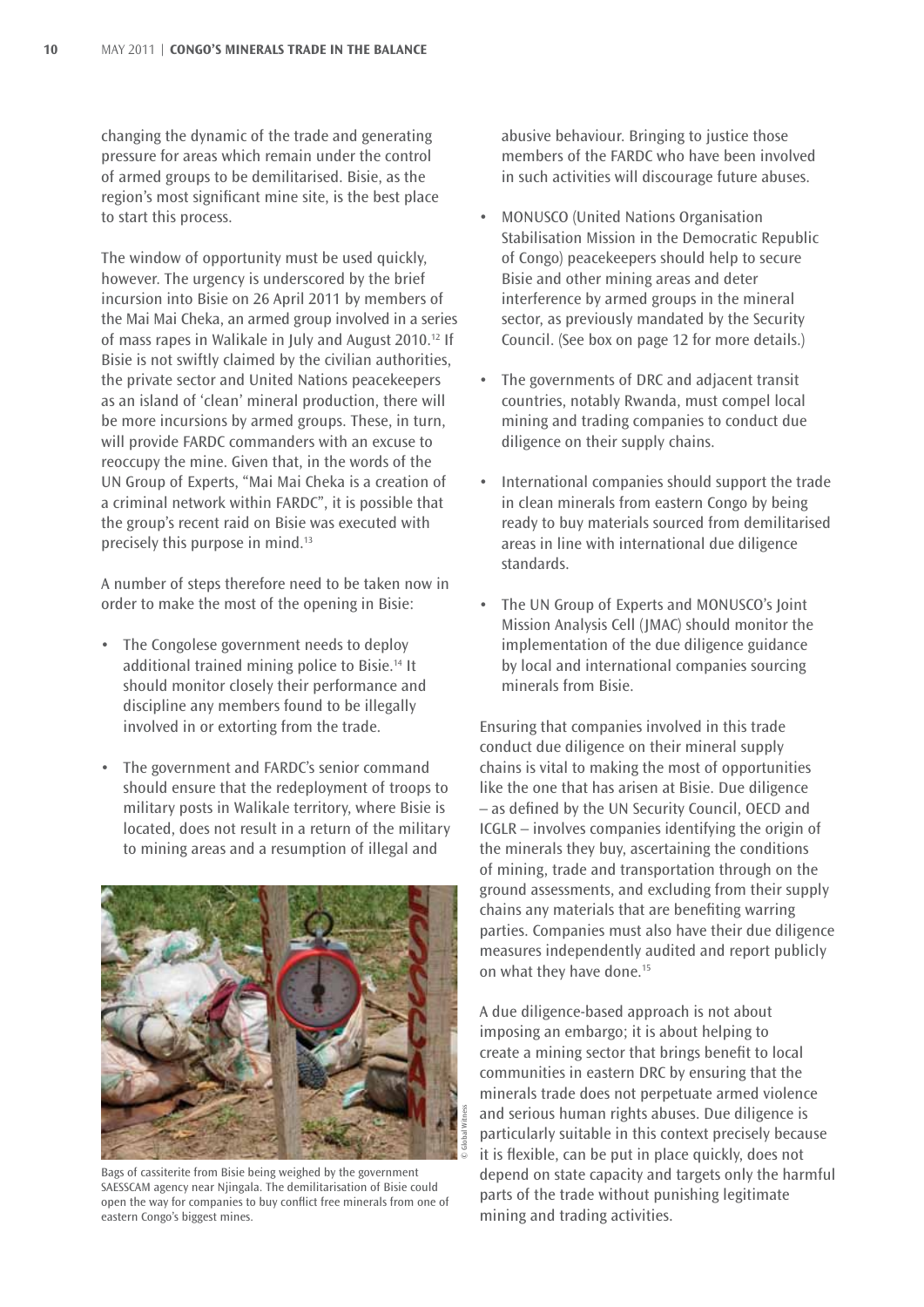changing the dynamic of the trade and generating pressure for areas which remain under the control of armed groups to be demilitarised. Bisie, as the region's most significant mine site, is the best place to start this process.

The window of opportunity must be used quickly, however. The urgency is underscored by the brief incursion into Bisie on 26 April 2011 by members of the Mai Mai Cheka, an armed group involved in a series of mass rapes in Walikale in July and August 2010.12 If Bisie is not swiftly claimed by the civilian authorities, the private sector and United Nations peacekeepers as an island of 'clean' mineral production, there will be more incursions by armed groups. These, in turn, will provide FARDC commanders with an excuse to reoccupy the mine. Given that, in the words of the UN Group of Experts, "Mai Mai Cheka is a creation of a criminal network within FARDC", it is possible that the group's recent raid on Bisie was executed with precisely this purpose in mind.13

A number of steps therefore need to be taken now in order to make the most of the opening in Bisie:

- The Congolese government needs to deploy additional trained mining police to Bisie.14 It should monitor closely their performance and discipline any members found to be illegally involved in or extorting from the trade.
- The government and FARDC's senior command should ensure that the redeployment of troops to military posts in Walikale territory, where Bisie is located, does not result in a return of the military to mining areas and a resumption of illegal and



Bags of cassiterite from Bisie being weighed by the government SAESSCAM agency near Njingala. The demilitarisation of Bisie could open the way for companies to buy conflict free minerals from one of eastern Congo's biggest mines.

abusive behaviour. Bringing to justice those members of the FARDC who have been involved in such activities will discourage future abuses.

- **MONUSCO (United Nations Organisation** Stabilisation Mission in the Democratic Republic of Congo) peacekeepers should help to secure Bisie and other mining areas and deter interference by armed groups in the mineral sector, as previously mandated by the Security Council. (See box on page 12 for more details.)
- The governments of DRC and adjacent transit countries, notably Rwanda, must compel local mining and trading companies to conduct due diligence on their supply chains.
- International companies should support the trade in clean minerals from eastern Congo by being ready to buy materials sourced from demilitarised areas in line with international due diligence standards.
- The UN Group of Experts and MONUSCO's Joint Mission Analysis Cell (JMAC) should monitor the implementation of the due diligence guidance by local and international companies sourcing minerals from Bisie.

Ensuring that companies involved in this trade conduct due diligence on their mineral supply chains is vital to making the most of opportunities like the one that has arisen at Bisie. Due diligence – as defined by the UN Security Council, OECD and ICGLR – involves companies identifying the origin of the minerals they buy, ascertaining the conditions of mining, trade and transportation through on the ground assessments, and excluding from their supply chains any materials that are benefiting warring parties. Companies must also have their due diligence measures independently audited and report publicly on what they have done.15

A due diligence-based approach is not about imposing an embargo; it is about helping to create a mining sector that brings benefit to local communities in eastern DRC by ensuring that the minerals trade does not perpetuate armed violence and serious human rights abuses. Due diligence is particularly suitable in this context precisely because it is flexible, can be put in place quickly, does not depend on state capacity and targets only the harmful parts of the trade without punishing legitimate mining and trading activities.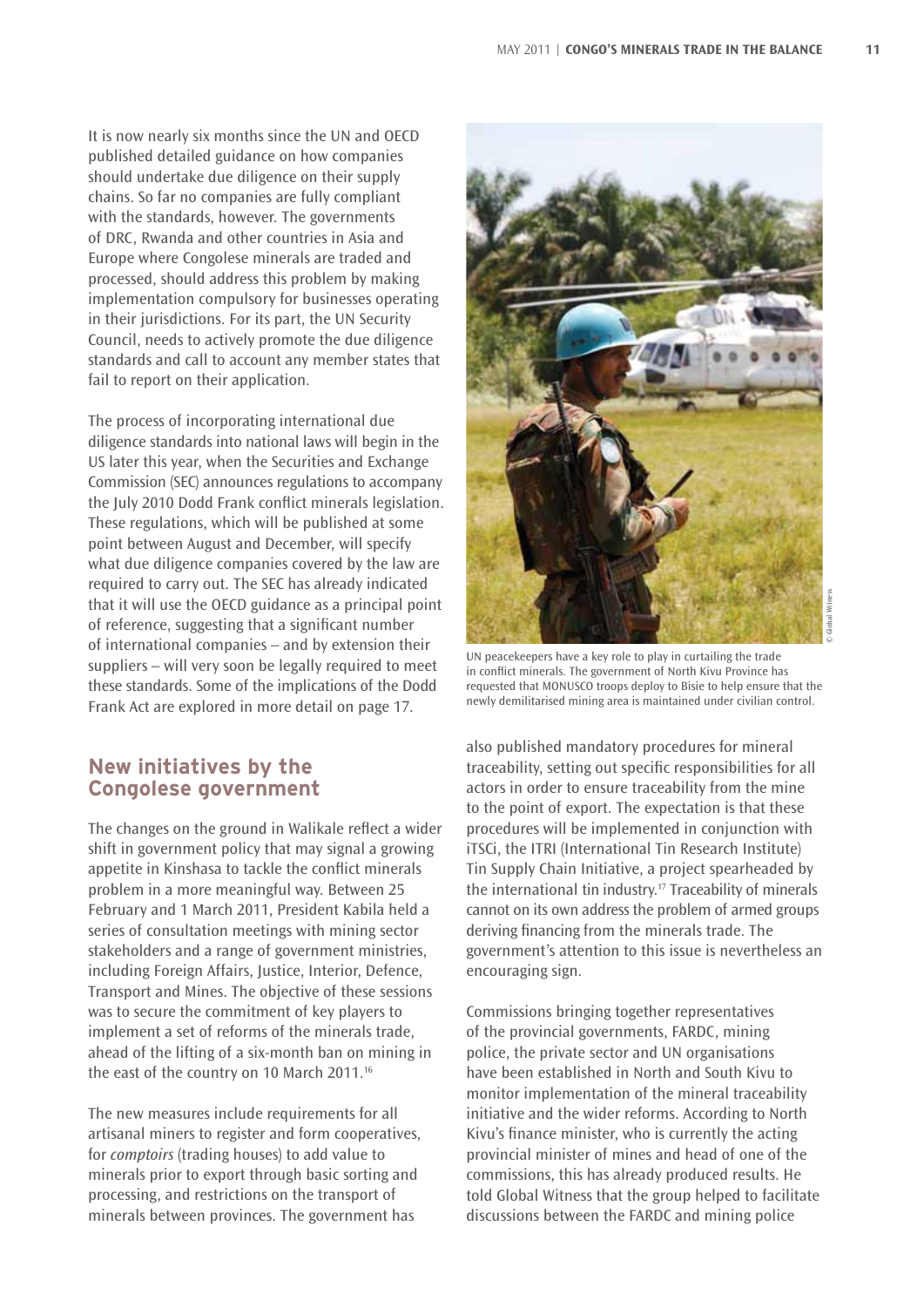It is now nearly six months since the UN and OECD published detailed guidance on how companies should undertake due diligence on their supply chains. So far no companies are fully compliant with the standards, however. The governments of DRC, Rwanda and other countries in Asia and Europe where Congolese minerals are traded and processed, should address this problem by making implementation compulsory for businesses operating in their jurisdictions. For its part, the UN Security Council, needs to actively promote the due diligence standards and call to account any member states that fail to report on their application.

The process of incorporating international due diligence standards into national laws will begin in the US later this year, when the Securities and Exchange Commission (SEC) announces regulations to accompany the July 2010 Dodd Frank conflict minerals legislation. These regulations, which will be published at some point between August and December, will specify what due diligence companies covered by the law are required to carry out. The SEC has already indicated that it will use the OECD guidance as a principal point of reference, suggesting that a significant number of international companies – and by extension their suppliers – will very soon be legally required to meet these standards. Some of the implications of the Dodd Frank Act are explored in more detail on page 17.

#### **New initiatives by the Congolese government**

The changes on the ground in Walikale reflect a wider shift in government policy that may signal a growing appetite in Kinshasa to tackle the conflict minerals problem in a more meaningful way. Between 25 February and 1 March 2011, President Kabila held a series of consultation meetings with mining sector stakeholders and a range of government ministries, including Foreign Affairs, Justice, Interior, Defence, Transport and Mines. The objective of these sessions was to secure the commitment of key players to implement a set of reforms of the minerals trade, ahead of the lifting of a six-month ban on mining in the east of the country on 10 March 2011.16

The new measures include requirements for all artisanal miners to register and form cooperatives, for *comptoirs* (trading houses) to add value to minerals prior to export through basic sorting and processing, and restrictions on the transport of minerals between provinces. The government has



UN peacekeepers have a key role to play in curtailing the trade in conflict minerals. The government of North Kivu Province has requested that MONUSCO troops deploy to Bisie to help ensure that the newly demilitarised mining area is maintained under civilian control.

also published mandatory procedures for mineral traceability, setting out specific responsibilities for all actors in order to ensure traceability from the mine to the point of export. The expectation is that these procedures will be implemented in conjunction with iTSCi, the ITRI (International Tin Research Institute) Tin Supply Chain Initiative, a project spearheaded by the international tin industry.17 Traceability of minerals cannot on its own address the problem of armed groups deriving financing from the minerals trade. The government's attention to this issue is nevertheless an encouraging sign.

Commissions bringing together representatives of the provincial governments, FARDC, mining police, the private sector and UN organisations have been established in North and South Kivu to monitor implementation of the mineral traceability initiative and the wider reforms. According to North Kivu's finance minister, who is currently the acting provincial minister of mines and head of one of the commissions, this has already produced results. He told Global Witness that the group helped to facilitate discussions between the FARDC and mining police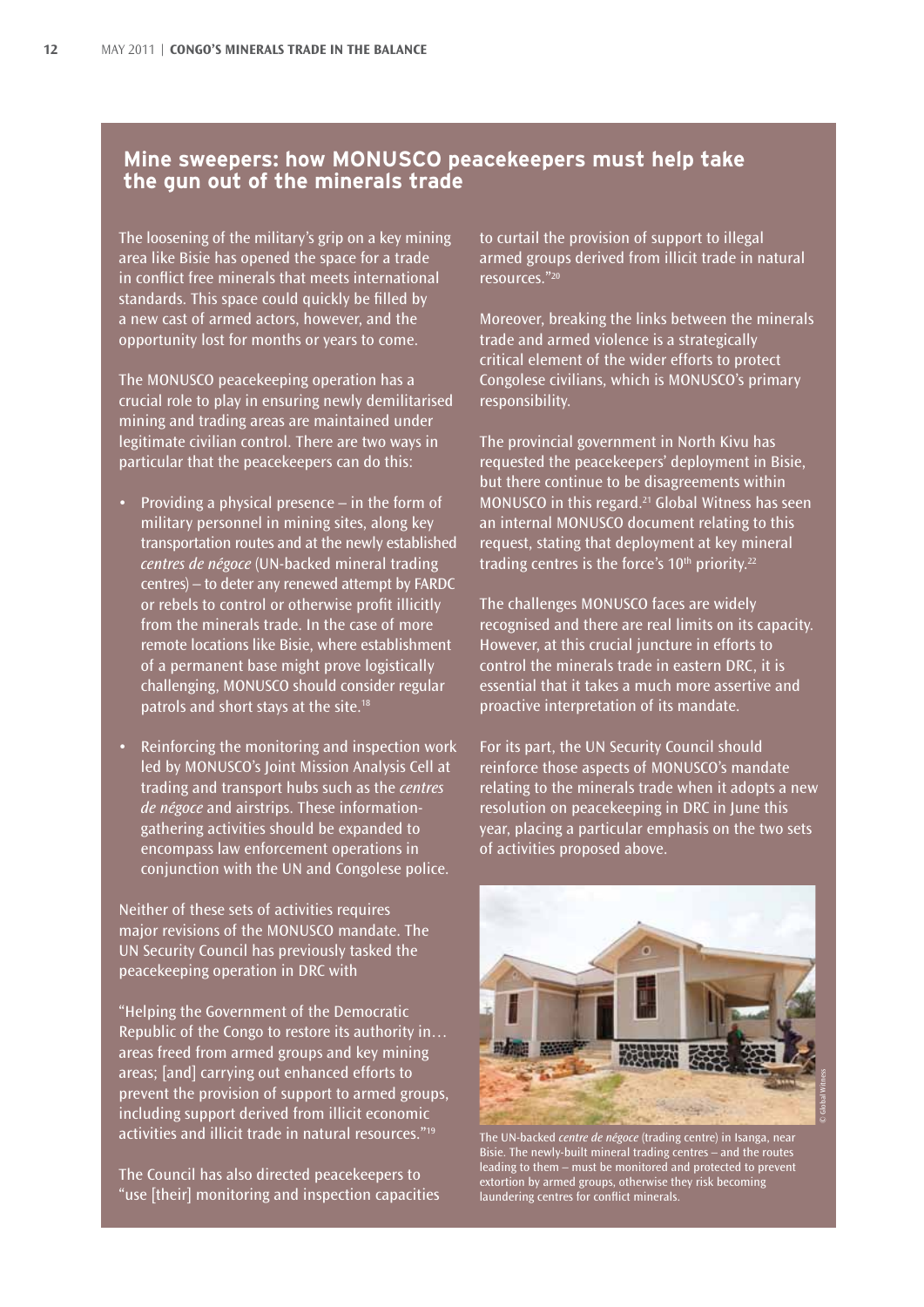#### **Mine sweepers: how MONUSCO peacekeepers must help take the gun out of the minerals trade**

The loosening of the military's grip on a key mining area like Bisie has opened the space for a trade in conflict free minerals that meets international standards. This space could quickly be filled by a new cast of armed actors, however, and the opportunity lost for months or years to come.

The MONUSCO peacekeeping operation has a crucial role to play in ensuring newly demilitarised mining and trading areas are maintained under legitimate civilian control. There are two ways in particular that the peacekeepers can do this:

- Providing a physical presence  $-$  in the form of military personnel in mining sites, along key transportation routes and at the newly established *centres de négoce* (UN-backed mineral trading centres) – to deter any renewed attempt by FARDC or rebels to control or otherwise profit illicitly from the minerals trade. In the case of more remote locations like Bisie, where establishment of a permanent base might prove logistically challenging, MONUSCO should consider regular patrols and short stays at the site.18
- Reinforcing the monitoring and inspection work led by MONUSCO's Joint Mission Analysis Cell at trading and transport hubs such as the *centres de négoce* and airstrips. These informationgathering activities should be expanded to encompass law enforcement operations in conjunction with the UN and Congolese police.

Neither of these sets of activities requires major revisions of the MONUSCO mandate. The UN Security Council has previously tasked the peacekeeping operation in DRC with

"Helping the Government of the Democratic Republic of the Congo to restore its authority in… areas freed from armed groups and key mining areas; [and] carrying out enhanced efforts to prevent the provision of support to armed groups, including support derived from illicit economic activities and illicit trade in natural resources."<sup>19</sup>

The Council has also directed peacekeepers to "use [their] monitoring and inspection capacities to curtail the provision of support to illegal armed groups derived from illicit trade in natural resources."20

Moreover, breaking the links between the minerals trade and armed violence is a strategically critical element of the wider efforts to protect Congolese civilians, which is MONUSCO's primary responsibility.

The provincial government in North Kivu has requested the peacekeepers' deployment in Bisie, but there continue to be disagreements within MONUSCO in this regard.<sup>21</sup> Global Witness has seen an internal MONUSCO document relating to this request, stating that deployment at key mineral trading centres is the force's  $10<sup>th</sup>$  priority.<sup>22</sup>

The challenges MONUSCO faces are widely recognised and there are real limits on its capacity. However, at this crucial juncture in efforts to control the minerals trade in eastern DRC, it is essential that it takes a much more assertive and proactive interpretation of its mandate.

For its part, the UN Security Council should reinforce those aspects of MONUSCO's mandate relating to the minerals trade when it adopts a new resolution on peacekeeping in DRC in June this year, placing a particular emphasis on the two sets of activities proposed above.



The UN-backed *centre de négoce* (trading centre) in Isanga, near Bisie. The newly-built mineral trading centres – and the routes leading to them – must be monitored and protected to prevent extortion by armed groups, otherwise they risk becoming laundering centres for conflict minerals.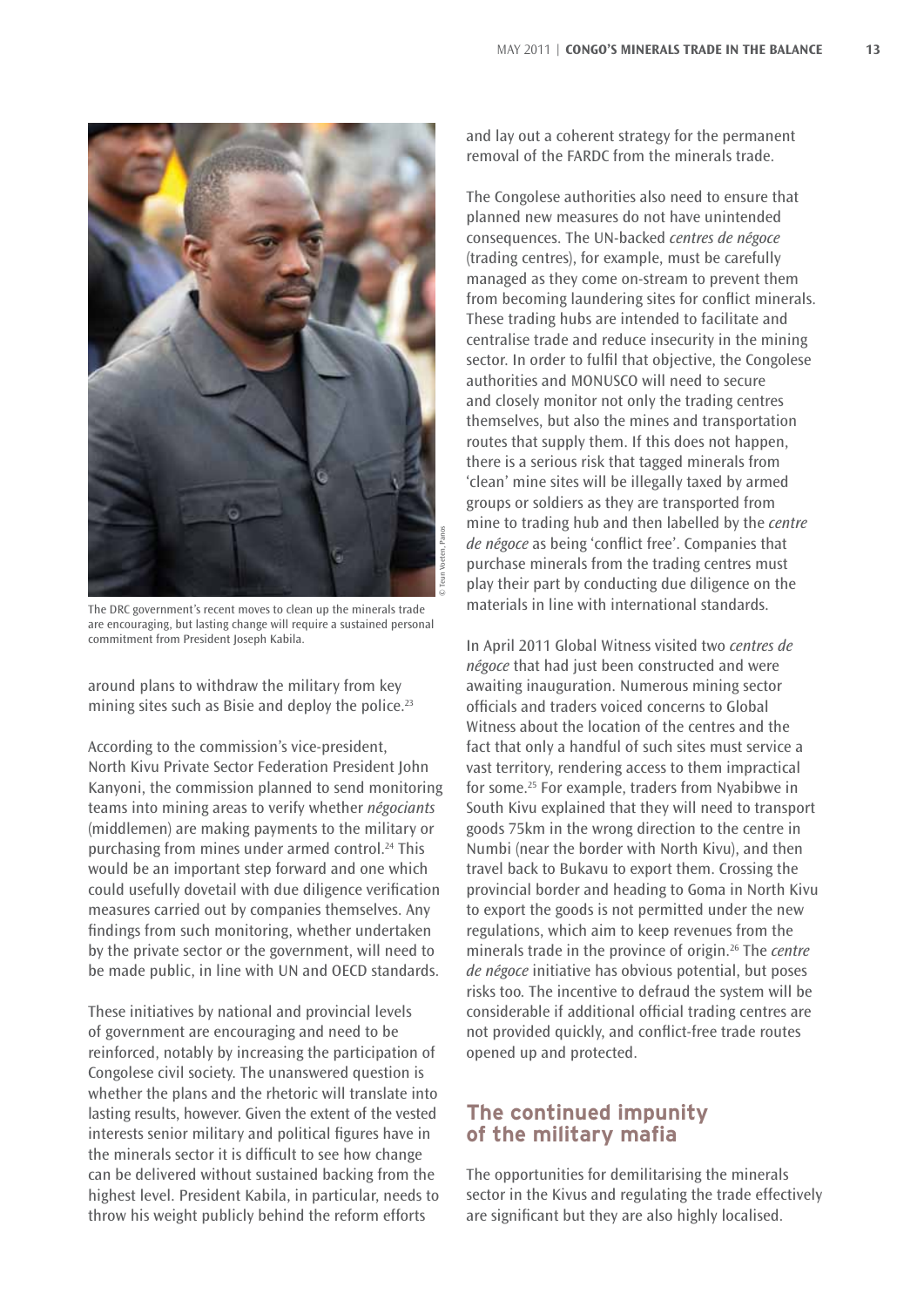

The DRC government's recent moves to clean up the minerals trade are encouraging, but lasting change will require a sustained personal commitment from President Joseph Kabila.

around plans to withdraw the military from key mining sites such as Bisie and deploy the police.<sup>23</sup>

According to the commission's vice-president, North Kivu Private Sector Federation President John Kanyoni, the commission planned to send monitoring teams into mining areas to verify whether *négociants* (middlemen) are making payments to the military or purchasing from mines under armed control.24 This would be an important step forward and one which could usefully dovetail with due diligence verification measures carried out by companies themselves. Any findings from such monitoring, whether undertaken by the private sector or the government, will need to be made public, in line with UN and OECD standards.

These initiatives by national and provincial levels of government are encouraging and need to be reinforced, notably by increasing the participation of Congolese civil society. The unanswered question is whether the plans and the rhetoric will translate into lasting results, however. Given the extent of the vested interests senior military and political figures have in the minerals sector it is difficult to see how change can be delivered without sustained backing from the highest level. President Kabila, in particular, needs to throw his weight publicly behind the reform efforts

and lay out a coherent strategy for the permanent removal of the FARDC from the minerals trade.

The Congolese authorities also need to ensure that planned new measures do not have unintended consequences. The UN-backed *centres de négoce* (trading centres), for example, must be carefully managed as they come on-stream to prevent them from becoming laundering sites for conflict minerals. These trading hubs are intended to facilitate and centralise trade and reduce insecurity in the mining sector. In order to fulfil that objective, the Congolese authorities and MONUSCO will need to secure and closely monitor not only the trading centres themselves, but also the mines and transportation routes that supply them. If this does not happen, there is a serious risk that tagged minerals from 'clean' mine sites will be illegally taxed by armed groups or soldiers as they are transported from mine to trading hub and then labelled by the *centre de négoce* as being 'conflict free'. Companies that purchase minerals from the trading centres must play their part by conducting due diligence on the materials in line with international standards.

In April 2011 Global Witness visited two *centres de négoce* that had just been constructed and were awaiting inauguration. Numerous mining sector officials and traders voiced concerns to Global Witness about the location of the centres and the fact that only a handful of such sites must service a vast territory, rendering access to them impractical for some.25 For example, traders from Nyabibwe in South Kivu explained that they will need to transport goods 75km in the wrong direction to the centre in Numbi (near the border with North Kivu), and then travel back to Bukavu to export them. Crossing the provincial border and heading to Goma in North Kivu to export the goods is not permitted under the new regulations, which aim to keep revenues from the minerals trade in the province of origin.26 The *centre de négoce* initiative has obvious potential, but poses risks too. The incentive to defraud the system will be considerable if additional official trading centres are not provided quickly, and conflict-free trade routes opened up and protected.

#### **The continued impunity of the military mafia**

The opportunities for demilitarising the minerals sector in the Kivus and regulating the trade effectively are significant but they are also highly localised.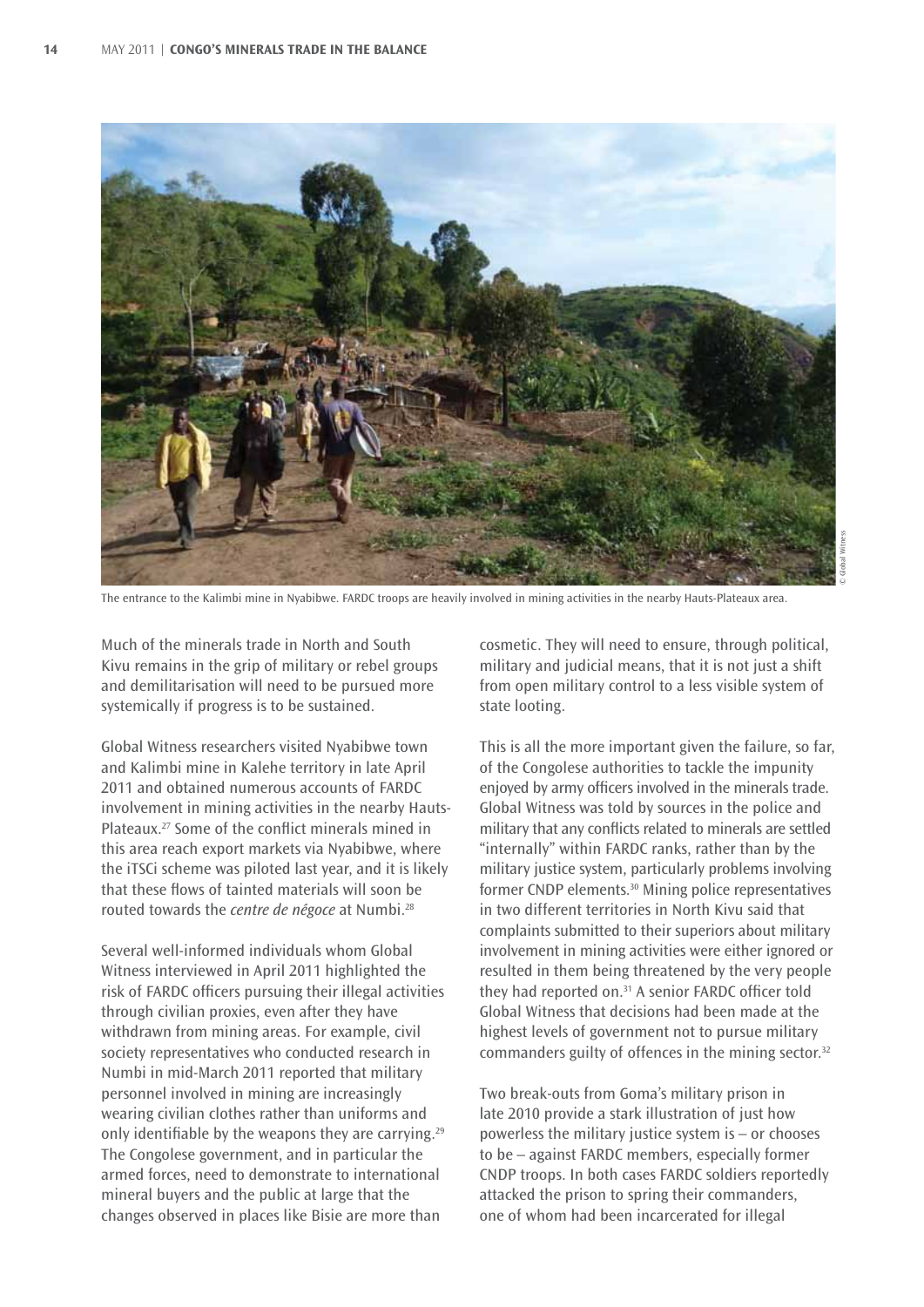

The entrance to the Kalimbi mine in Nyabibwe. FARDC troops are heavily involved in mining activities in the nearby Hauts-Plateaux area.

Much of the minerals trade in North and South Kivu remains in the grip of military or rebel groups and demilitarisation will need to be pursued more systemically if progress is to be sustained.

Global Witness researchers visited Nyabibwe town and Kalimbi mine in Kalehe territory in late April 2011 and obtained numerous accounts of FARDC involvement in mining activities in the nearby Hauts-Plateaux.<sup>27</sup> Some of the conflict minerals mined in this area reach export markets via Nyabibwe, where the iTSCi scheme was piloted last year, and it is likely that these flows of tainted materials will soon be routed towards the *centre de négoce* at Numbi.28

Several well-informed individuals whom Global Witness interviewed in April 2011 highlighted the risk of FARDC officers pursuing their illegal activities through civilian proxies, even after they have withdrawn from mining areas. For example, civil society representatives who conducted research in Numbi in mid-March 2011 reported that military personnel involved in mining are increasingly wearing civilian clothes rather than uniforms and only identifiable by the weapons they are carrying.<sup>29</sup> The Congolese government, and in particular the armed forces, need to demonstrate to international mineral buyers and the public at large that the changes observed in places like Bisie are more than

cosmetic. They will need to ensure, through political, military and judicial means, that it is not just a shift from open military control to a less visible system of state looting.

This is all the more important given the failure, so far, of the Congolese authorities to tackle the impunity enjoyed by army officers involved in the minerals trade. Global Witness was told by sources in the police and military that any conflicts related to minerals are settled "internally" within FARDC ranks, rather than by the military justice system, particularly problems involving former CNDP elements.30 Mining police representatives in two different territories in North Kivu said that complaints submitted to their superiors about military involvement in mining activities were either ignored or resulted in them being threatened by the very people they had reported on.<sup>31</sup> A senior FARDC officer told Global Witness that decisions had been made at the highest levels of government not to pursue military commanders guilty of offences in the mining sector.<sup>32</sup>

Two break-outs from Goma's military prison in late 2010 provide a stark illustration of just how powerless the military justice system is – or chooses to be – against FARDC members, especially former CNDP troops. In both cases FARDC soldiers reportedly attacked the prison to spring their commanders, one of whom had been incarcerated for illegal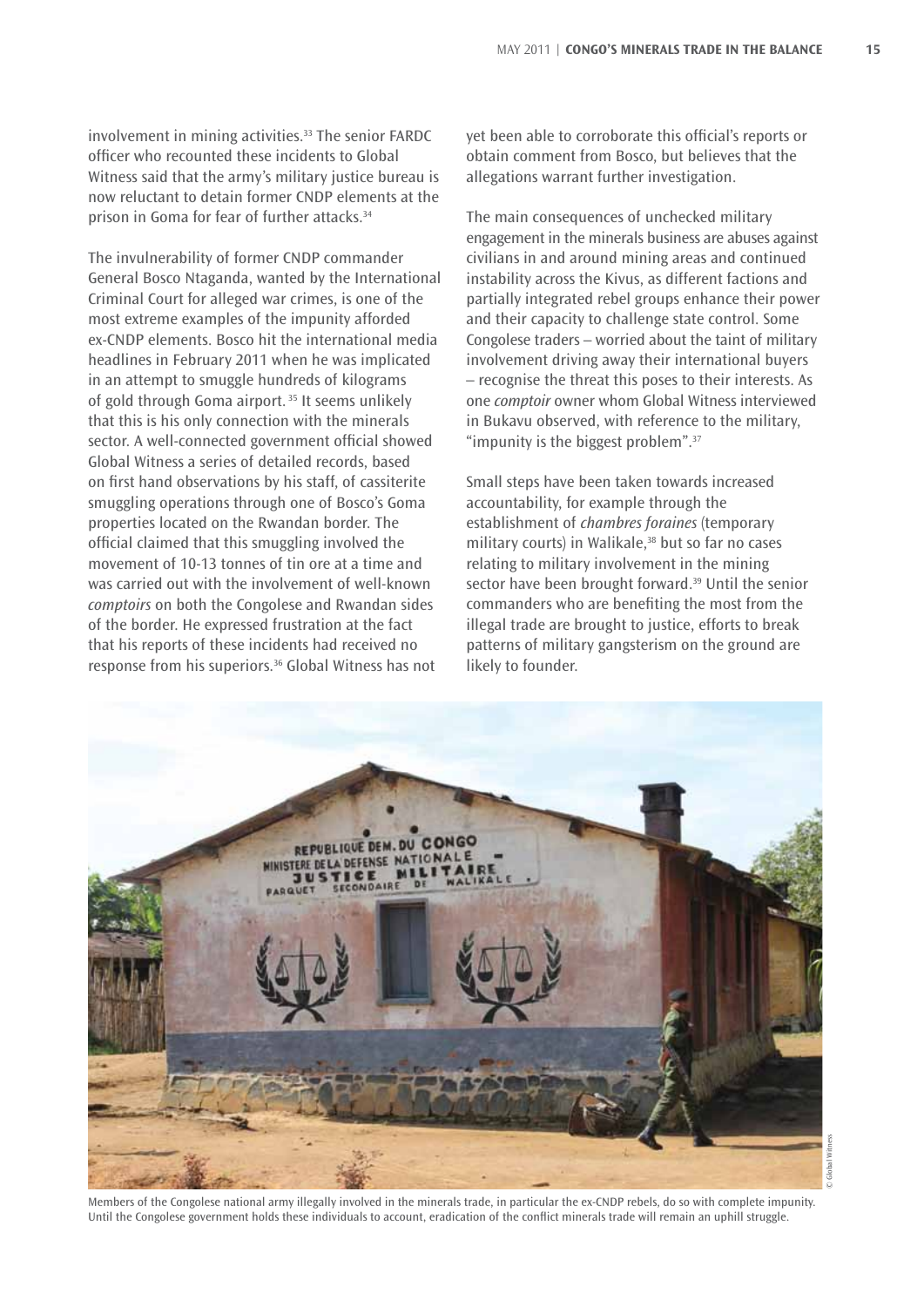involvement in mining activities.<sup>33</sup> The senior FARDC officer who recounted these incidents to Global Witness said that the army's military justice bureau is now reluctant to detain former CNDP elements at the prison in Goma for fear of further attacks.34

The invulnerability of former CNDP commander General Bosco Ntaganda, wanted by the International Criminal Court for alleged war crimes, is one of the most extreme examples of the impunity afforded ex-CNDP elements. Bosco hit the international media headlines in February 2011 when he was implicated in an attempt to smuggle hundreds of kilograms of gold through Goma airport. 35 It seems unlikely that this is his only connection with the minerals sector. A well-connected government official showed Global Witness a series of detailed records, based on first hand observations by his staff, of cassiterite smuggling operations through one of Bosco's Goma properties located on the Rwandan border. The official claimed that this smuggling involved the movement of 10-13 tonnes of tin ore at a time and was carried out with the involvement of well-known *comptoirs* on both the Congolese and Rwandan sides of the border. He expressed frustration at the fact that his reports of these incidents had received no response from his superiors.36 Global Witness has not

yet been able to corroborate this official's reports or obtain comment from Bosco, but believes that the allegations warrant further investigation.

The main consequences of unchecked military engagement in the minerals business are abuses against civilians in and around mining areas and continued instability across the Kivus, as different factions and partially integrated rebel groups enhance their power and their capacity to challenge state control. Some Congolese traders – worried about the taint of military involvement driving away their international buyers – recognise the threat this poses to their interests. As one *comptoir* owner whom Global Witness interviewed in Bukavu observed, with reference to the military, "impunity is the biggest problem".<sup>37</sup>

Small steps have been taken towards increased accountability, for example through the establishment of *chambres foraines* (temporary military courts) in Walikale,<sup>38</sup> but so far no cases relating to military involvement in the mining sector have been brought forward.39 Until the senior commanders who are benefiting the most from the illegal trade are brought to justice, efforts to break patterns of military gangsterism on the ground are likely to founder.



Members of the Congolese national army illegally involved in the minerals trade, in particular the ex-CNDP rebels, do so with complete impunity. Until the Congolese government holds these individuals to account, eradication of the conflict minerals trade will remain an uphill struggle.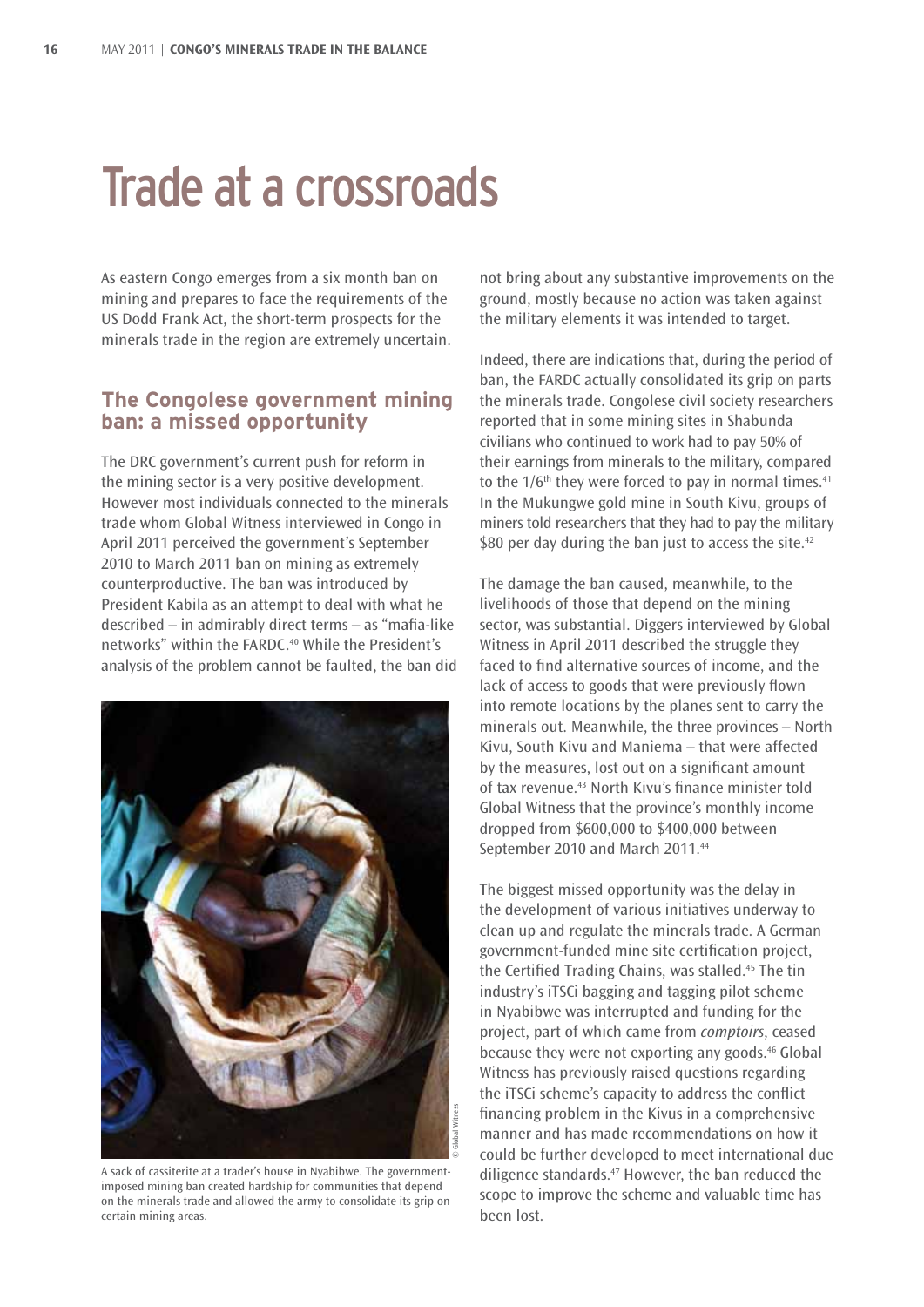### Trade at a crossroads

As eastern Congo emerges from a six month ban on mining and prepares to face the requirements of the US Dodd Frank Act, the short-term prospects for the minerals trade in the region are extremely uncertain.

#### **The Congolese government mining ban: a missed opportunity**

The DRC government's current push for reform in the mining sector is a very positive development. However most individuals connected to the minerals trade whom Global Witness interviewed in Congo in April 2011 perceived the government's September 2010 to March 2011 ban on mining as extremely counterproductive. The ban was introduced by President Kabila as an attempt to deal with what he described – in admirably direct terms – as "mafia-like networks" within the FARDC.<sup>40</sup> While the President's analysis of the problem cannot be faulted, the ban did



A sack of cassiterite at a trader's house in Nyabibwe. The governmentimposed mining ban created hardship for communities that depend on the minerals trade and allowed the army to consolidate its grip on certain mining areas.

not bring about any substantive improvements on the ground, mostly because no action was taken against the military elements it was intended to target.

Indeed, there are indications that, during the period of ban, the FARDC actually consolidated its grip on parts the minerals trade. Congolese civil society researchers reported that in some mining sites in Shabunda civilians who continued to work had to pay 50% of their earnings from minerals to the military, compared to the  $1/6$ <sup>th</sup> they were forced to pay in normal times.<sup>41</sup> In the Mukungwe gold mine in South Kivu, groups of miners told researchers that they had to pay the military \$80 per day during the ban just to access the site. $42$ 

The damage the ban caused, meanwhile, to the livelihoods of those that depend on the mining sector, was substantial. Diggers interviewed by Global Witness in April 2011 described the struggle they faced to find alternative sources of income, and the lack of access to goods that were previously flown into remote locations by the planes sent to carry the minerals out. Meanwhile, the three provinces – North Kivu, South Kivu and Maniema – that were affected by the measures, lost out on a significant amount of tax revenue.43 North Kivu's finance minister told Global Witness that the province's monthly income dropped from \$600,000 to \$400,000 between September 2010 and March 2011.<sup>44</sup>

The biggest missed opportunity was the delay in the development of various initiatives underway to clean up and regulate the minerals trade. A German government-funded mine site certification project, the Certified Trading Chains, was stalled.45 The tin industry's iTSCi bagging and tagging pilot scheme in Nyabibwe was interrupted and funding for the project, part of which came from *comptoirs*, ceased because they were not exporting any goods.<sup>46</sup> Global Witness has previously raised questions regarding the iTSCi scheme's capacity to address the conflict financing problem in the Kivus in a comprehensive manner and has made recommendations on how it could be further developed to meet international due diligence standards.<sup>47</sup> However, the ban reduced the scope to improve the scheme and valuable time has been lost.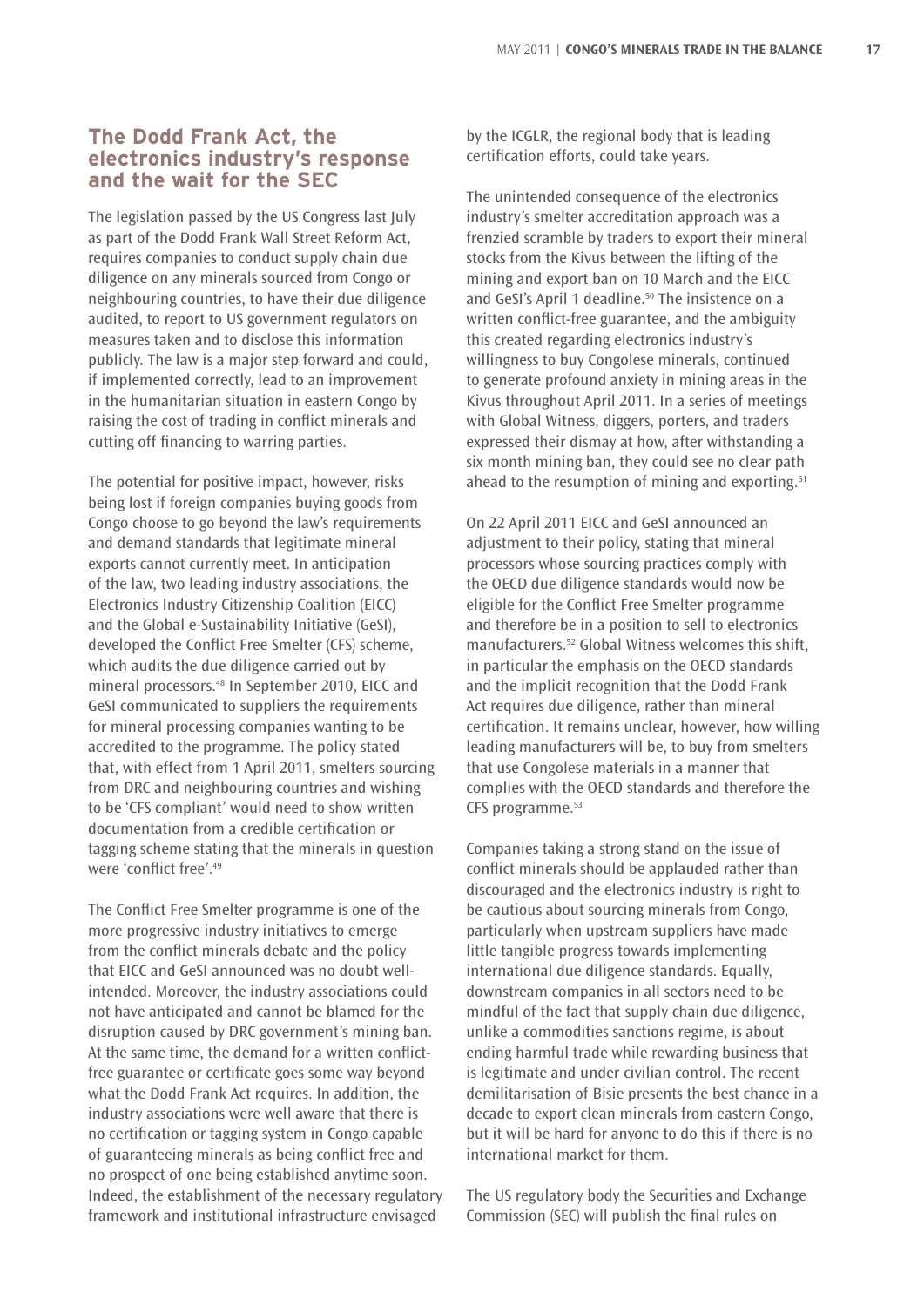#### **The Dodd Frank Act, the electronics industry's response and the wait for the SEC**

The legislation passed by the US Congress last July as part of the Dodd Frank Wall Street Reform Act, requires companies to conduct supply chain due diligence on any minerals sourced from Congo or neighbouring countries, to have their due diligence audited, to report to US government regulators on measures taken and to disclose this information publicly. The law is a major step forward and could, if implemented correctly, lead to an improvement in the humanitarian situation in eastern Congo by raising the cost of trading in conflict minerals and cutting off financing to warring parties.

The potential for positive impact, however, risks being lost if foreign companies buying goods from Congo choose to go beyond the law's requirements and demand standards that legitimate mineral exports cannot currently meet. In anticipation of the law, two leading industry associations, the Electronics Industry Citizenship Coalition (EICC) and the Global e-Sustainability Initiative (GeSI), developed the Conflict Free Smelter (CFS) scheme, which audits the due diligence carried out by mineral processors.48 In September 2010, EICC and GeSI communicated to suppliers the requirements for mineral processing companies wanting to be accredited to the programme. The policy stated that, with effect from 1 April 2011, smelters sourcing from DRC and neighbouring countries and wishing to be 'CFS compliant' would need to show written documentation from a credible certification or tagging scheme stating that the minerals in question were 'conflict free'.49

The Conflict Free Smelter programme is one of the more progressive industry initiatives to emerge from the conflict minerals debate and the policy that EICC and GeSI announced was no doubt wellintended. Moreover, the industry associations could not have anticipated and cannot be blamed for the disruption caused by DRC government's mining ban. At the same time, the demand for a written conflictfree guarantee or certificate goes some way beyond what the Dodd Frank Act requires. In addition, the industry associations were well aware that there is no certification or tagging system in Congo capable of guaranteeing minerals as being conflict free and no prospect of one being established anytime soon. Indeed, the establishment of the necessary regulatory framework and institutional infrastructure envisaged

by the ICGLR, the regional body that is leading certification efforts, could take years.

The unintended consequence of the electronics industry's smelter accreditation approach was a frenzied scramble by traders to export their mineral stocks from the Kivus between the lifting of the mining and export ban on 10 March and the EICC and GeSI's April 1 deadline.<sup>50</sup> The insistence on a written conflict-free guarantee, and the ambiguity this created regarding electronics industry's willingness to buy Congolese minerals, continued to generate profound anxiety in mining areas in the Kivus throughout April 2011. In a series of meetings with Global Witness, diggers, porters, and traders expressed their dismay at how, after withstanding a six month mining ban, they could see no clear path ahead to the resumption of mining and exporting.<sup>51</sup>

On 22 April 2011 EICC and GeSI announced an adjustment to their policy, stating that mineral processors whose sourcing practices comply with the OECD due diligence standards would now be eligible for the Conflict Free Smelter programme and therefore be in a position to sell to electronics manufacturers.52 Global Witness welcomes this shift, in particular the emphasis on the OECD standards and the implicit recognition that the Dodd Frank Act requires due diligence, rather than mineral certification. It remains unclear, however, how willing leading manufacturers will be, to buy from smelters that use Congolese materials in a manner that complies with the OECD standards and therefore the CFS programme.<sup>53</sup>

Companies taking a strong stand on the issue of conflict minerals should be applauded rather than discouraged and the electronics industry is right to be cautious about sourcing minerals from Congo, particularly when upstream suppliers have made little tangible progress towards implementing international due diligence standards. Equally, downstream companies in all sectors need to be mindful of the fact that supply chain due diligence, unlike a commodities sanctions regime, is about ending harmful trade while rewarding business that is legitimate and under civilian control. The recent demilitarisation of Bisie presents the best chance in a decade to export clean minerals from eastern Congo, but it will be hard for anyone to do this if there is no international market for them.

The US regulatory body the Securities and Exchange Commission (SEC) will publish the final rules on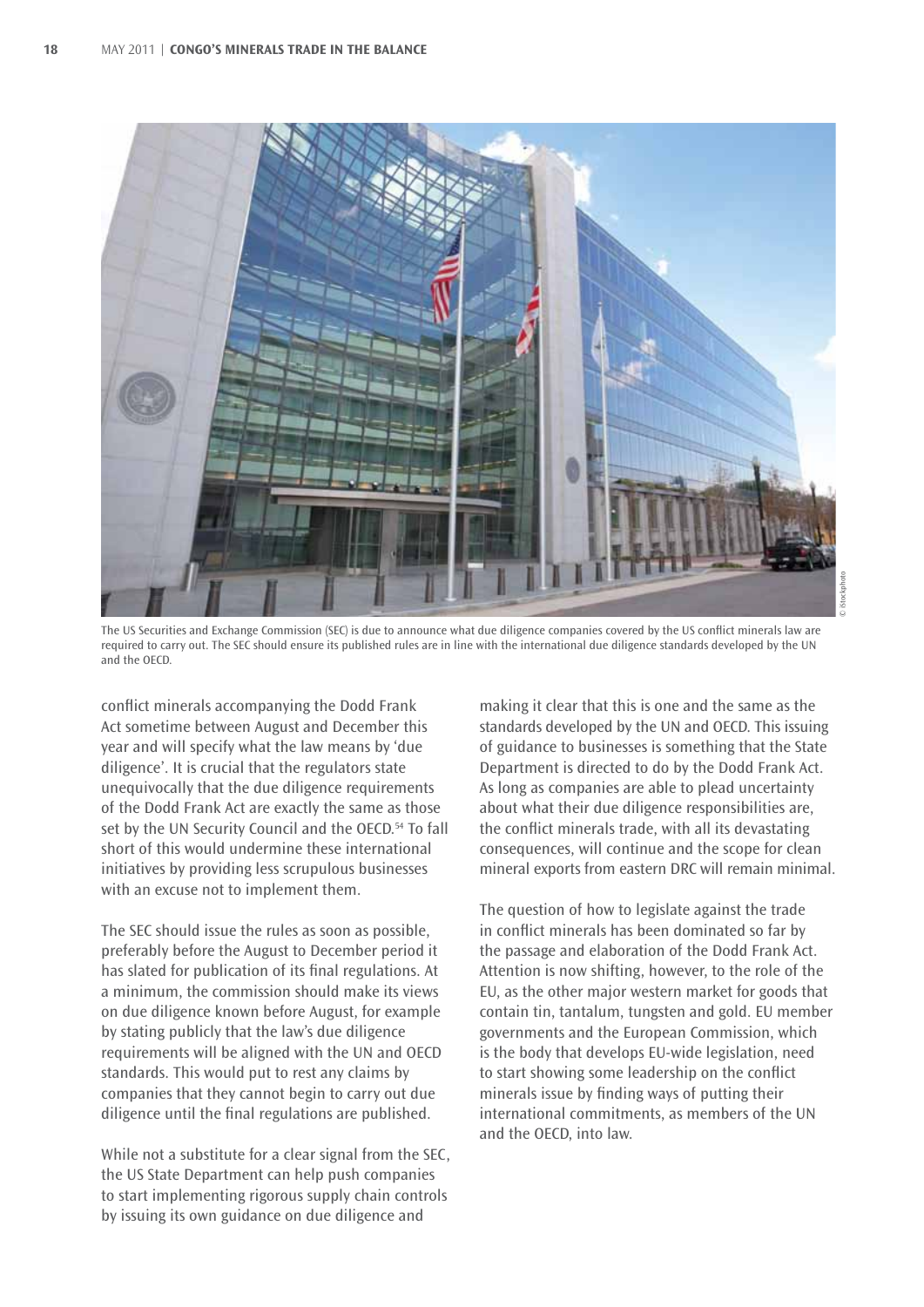

The US Securities and Exchange Commission (SEC) is due to announce what due diligence companies covered by the US conflict minerals law are required to carry out. The SEC should ensure its published rules are in line with the international due diligence standards developed by the UN and the OECD.

conflict minerals accompanying the Dodd Frank Act sometime between August and December this year and will specify what the law means by 'due diligence'. It is crucial that the regulators state unequivocally that the due diligence requirements of the Dodd Frank Act are exactly the same as those set by the UN Security Council and the OECD.<sup>54</sup> To fall short of this would undermine these international initiatives by providing less scrupulous businesses with an excuse not to implement them.

The SEC should issue the rules as soon as possible, preferably before the August to December period it has slated for publication of its final regulations. At a minimum, the commission should make its views on due diligence known before August, for example by stating publicly that the law's due diligence requirements will be aligned with the UN and OECD standards. This would put to rest any claims by companies that they cannot begin to carry out due diligence until the final regulations are published.

While not a substitute for a clear signal from the SEC, the US State Department can help push companies to start implementing rigorous supply chain controls by issuing its own guidance on due diligence and

making it clear that this is one and the same as the standards developed by the UN and OECD. This issuing of guidance to businesses is something that the State Department is directed to do by the Dodd Frank Act. As long as companies are able to plead uncertainty about what their due diligence responsibilities are, the conflict minerals trade, with all its devastating consequences, will continue and the scope for clean mineral exports from eastern DRC will remain minimal.

The question of how to legislate against the trade in conflict minerals has been dominated so far by the passage and elaboration of the Dodd Frank Act. Attention is now shifting, however, to the role of the EU, as the other major western market for goods that contain tin, tantalum, tungsten and gold. EU member governments and the European Commission, which is the body that develops EU-wide legislation, need to start showing some leadership on the conflict minerals issue by finding ways of putting their international commitments, as members of the UN and the OECD, into law.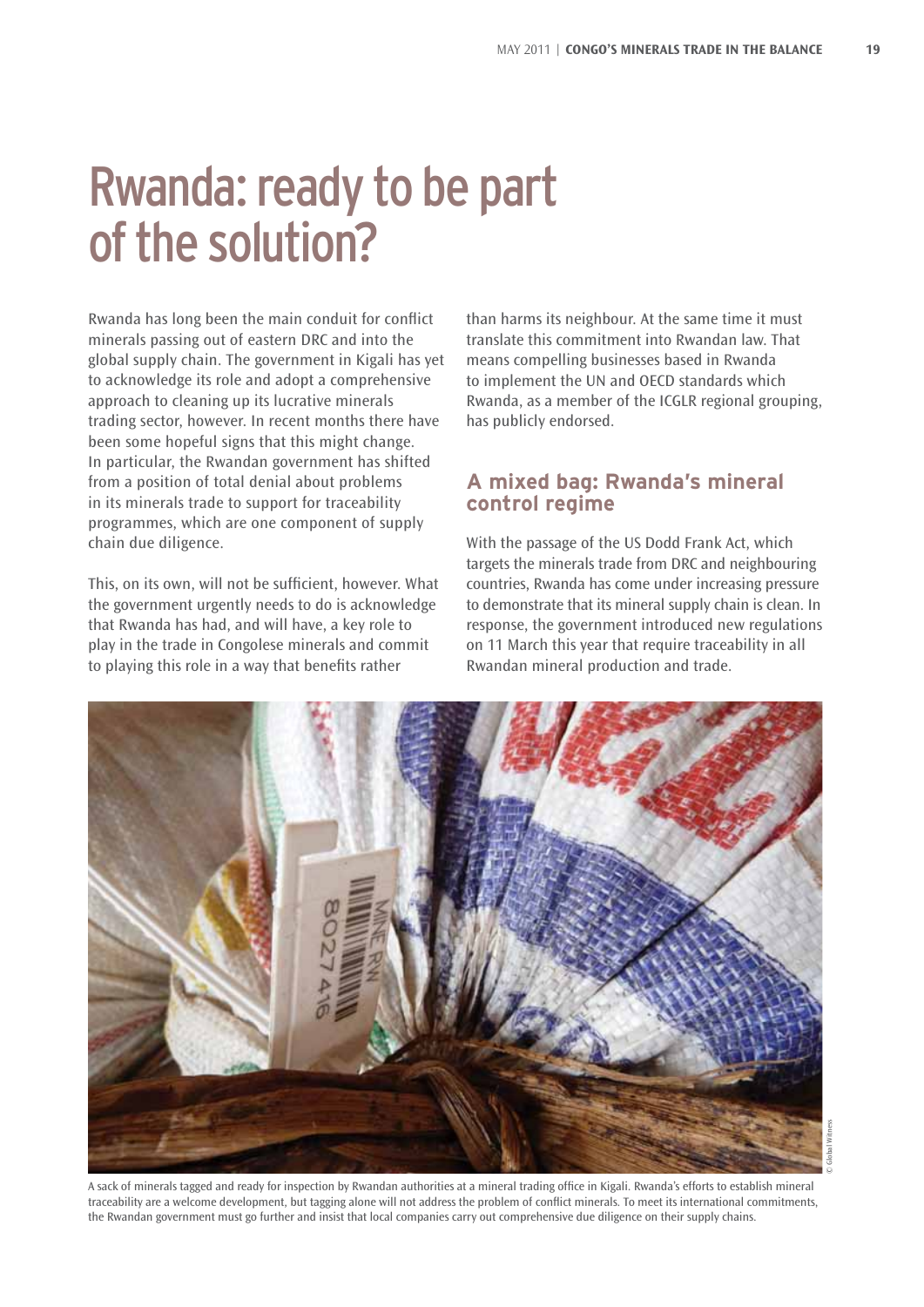### Rwanda: ready to be part of the solution?

Rwanda has long been the main conduit for conflict minerals passing out of eastern DRC and into the global supply chain. The government in Kigali has yet to acknowledge its role and adopt a comprehensive approach to cleaning up its lucrative minerals trading sector, however. In recent months there have been some hopeful signs that this might change. In particular, the Rwandan government has shifted from a position of total denial about problems in its minerals trade to support for traceability programmes, which are one component of supply chain due diligence.

This, on its own, will not be sufficient, however. What the government urgently needs to do is acknowledge that Rwanda has had, and will have, a key role to play in the trade in Congolese minerals and commit to playing this role in a way that benefits rather

than harms its neighbour. At the same time it must translate this commitment into Rwandan law. That means compelling businesses based in Rwanda to implement the UN and OECD standards which Rwanda, as a member of the ICGLR regional grouping, has publicly endorsed.

#### **A mixed bag: Rwanda's mineral control regime**

With the passage of the US Dodd Frank Act, which targets the minerals trade from DRC and neighbouring countries, Rwanda has come under increasing pressure to demonstrate that its mineral supply chain is clean. In response, the government introduced new regulations on 11 March this year that require traceability in all Rwandan mineral production and trade.



A sack of minerals tagged and ready for inspection by Rwandan authorities at a mineral trading office in Kigali. Rwanda's efforts to establish mineral traceability are a welcome development, but tagging alone will not address the problem of conflict minerals. To meet its international commitments, the Rwandan government must go further and insist that local companies carry out comprehensive due diligence on their supply chains.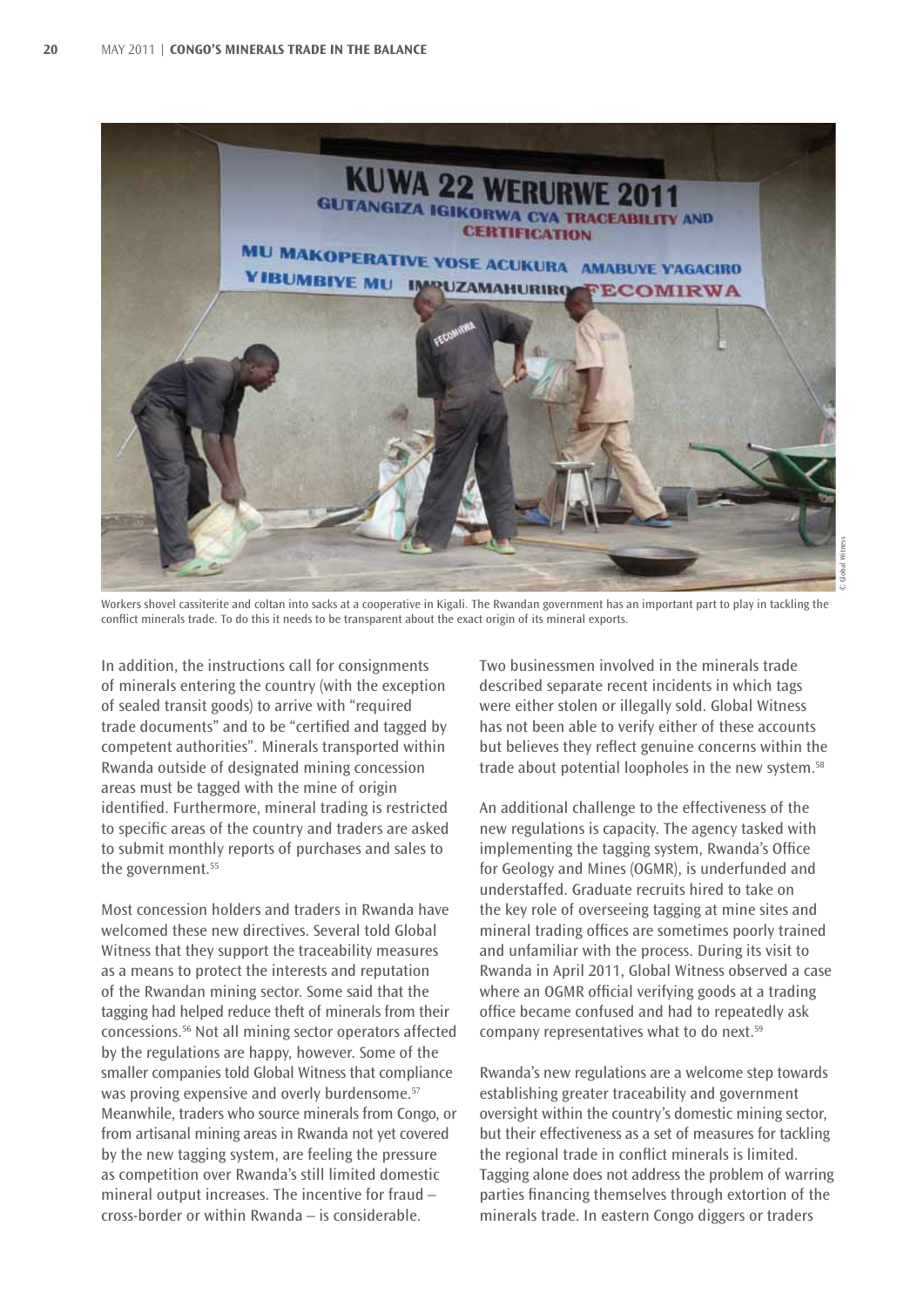

Workers shovel cassiterite and coltan into sacks at a cooperative in Kigali. The Rwandan government has an important part to play in tackling the conflict minerals trade. To do this it needs to be transparent about the exact origin of its mineral exports.

In addition, the instructions call for consignments of minerals entering the country (with the exception of sealed transit goods) to arrive with "required trade documents" and to be "certified and tagged by competent authorities". Minerals transported within Rwanda outside of designated mining concession areas must be tagged with the mine of origin identified. Furthermore, mineral trading is restricted to specific areas of the country and traders are asked to submit monthly reports of purchases and sales to the government.<sup>55</sup>

Most concession holders and traders in Rwanda have welcomed these new directives. Several told Global Witness that they support the traceability measures as a means to protect the interests and reputation of the Rwandan mining sector. Some said that the tagging had helped reduce theft of minerals from their concessions.56 Not all mining sector operators affected by the regulations are happy, however. Some of the smaller companies told Global Witness that compliance was proving expensive and overly burdensome.<sup>57</sup> Meanwhile, traders who source minerals from Congo, or from artisanal mining areas in Rwanda not yet covered by the new tagging system, are feeling the pressure as competition over Rwanda's still limited domestic mineral output increases. The incentive for fraud – cross-border or within Rwanda – is considerable.

Two businessmen involved in the minerals trade described separate recent incidents in which tags were either stolen or illegally sold. Global Witness has not been able to verify either of these accounts but believes they reflect genuine concerns within the trade about potential loopholes in the new system.<sup>58</sup>

An additional challenge to the effectiveness of the new regulations is capacity. The agency tasked with implementing the tagging system, Rwanda's Office for Geology and Mines (OGMR), is underfunded and understaffed. Graduate recruits hired to take on the key role of overseeing tagging at mine sites and mineral trading offices are sometimes poorly trained and unfamiliar with the process. During its visit to Rwanda in April 2011, Global Witness observed a case where an OGMR official verifying goods at a trading office became confused and had to repeatedly ask company representatives what to do next.59

Rwanda's new regulations are a welcome step towards establishing greater traceability and government oversight within the country's domestic mining sector, but their effectiveness as a set of measures for tackling the regional trade in conflict minerals is limited. Tagging alone does not address the problem of warring parties financing themselves through extortion of the minerals trade. In eastern Congo diggers or traders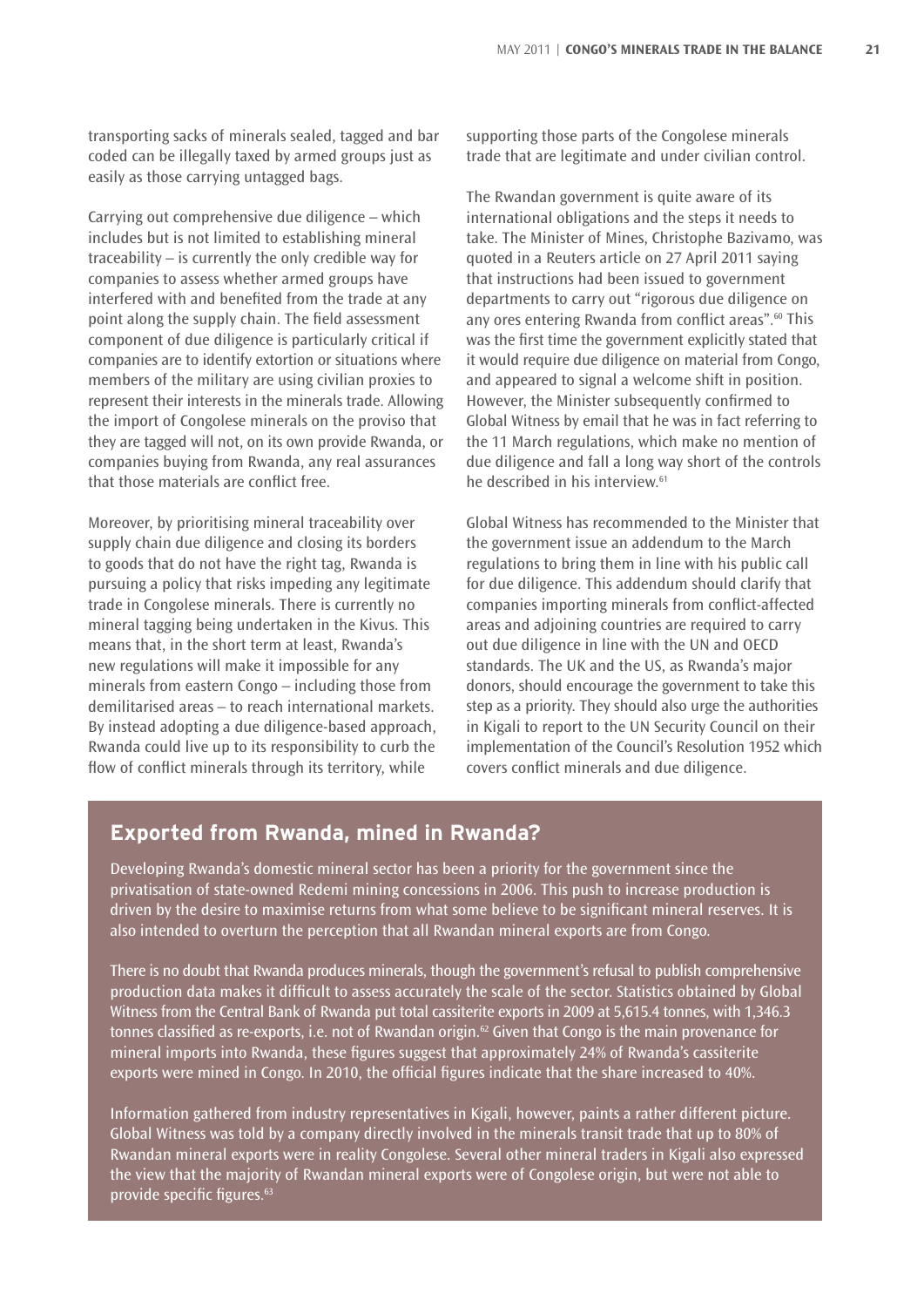transporting sacks of minerals sealed, tagged and bar coded can be illegally taxed by armed groups just as easily as those carrying untagged bags.

Carrying out comprehensive due diligence – which includes but is not limited to establishing mineral traceability – is currently the only credible way for companies to assess whether armed groups have interfered with and benefited from the trade at any point along the supply chain. The field assessment component of due diligence is particularly critical if companies are to identify extortion or situations where members of the military are using civilian proxies to represent their interests in the minerals trade. Allowing the import of Congolese minerals on the proviso that they are tagged will not, on its own provide Rwanda, or companies buying from Rwanda, any real assurances that those materials are conflict free.

Moreover, by prioritising mineral traceability over supply chain due diligence and closing its borders to goods that do not have the right tag, Rwanda is pursuing a policy that risks impeding any legitimate trade in Congolese minerals. There is currently no mineral tagging being undertaken in the Kivus. This means that, in the short term at least, Rwanda's new regulations will make it impossible for any minerals from eastern Congo – including those from demilitarised areas – to reach international markets. By instead adopting a due diligence-based approach, Rwanda could live up to its responsibility to curb the flow of conflict minerals through its territory, while

supporting those parts of the Congolese minerals trade that are legitimate and under civilian control.

The Rwandan government is quite aware of its international obligations and the steps it needs to take. The Minister of Mines, Christophe Bazivamo, was quoted in a Reuters article on 27 April 2011 saying that instructions had been issued to government departments to carry out "rigorous due diligence on any ores entering Rwanda from conflict areas".<sup>60</sup> This was the first time the government explicitly stated that it would require due diligence on material from Congo, and appeared to signal a welcome shift in position. However, the Minister subsequently confirmed to Global Witness by email that he was in fact referring to the 11 March regulations, which make no mention of due diligence and fall a long way short of the controls he described in his interview.61

Global Witness has recommended to the Minister that the government issue an addendum to the March regulations to bring them in line with his public call for due diligence. This addendum should clarify that companies importing minerals from conflict-affected areas and adjoining countries are required to carry out due diligence in line with the UN and OECD standards. The UK and the US, as Rwanda's major donors, should encourage the government to take this step as a priority. They should also urge the authorities in Kigali to report to the UN Security Council on their implementation of the Council's Resolution 1952 which covers conflict minerals and due diligence.

#### **Exported from Rwanda, mined in Rwanda?**

Developing Rwanda's domestic mineral sector has been a priority for the government since the privatisation of state-owned Redemi mining concessions in 2006. This push to increase production is driven by the desire to maximise returns from what some believe to be significant mineral reserves. It is also intended to overturn the perception that all Rwandan mineral exports are from Congo.

There is no doubt that Rwanda produces minerals, though the government's refusal to publish comprehensive production data makes it difficult to assess accurately the scale of the sector. Statistics obtained by Global Witness from the Central Bank of Rwanda put total cassiterite exports in 2009 at 5,615.4 tonnes, with 1,346.3 tonnes classified as re-exports, i.e. not of Rwandan origin.<sup>62</sup> Given that Congo is the main provenance for mineral imports into Rwanda, these figures suggest that approximately 24% of Rwanda's cassiterite exports were mined in Congo. In 2010, the official figures indicate that the share increased to 40%.

Information gathered from industry representatives in Kigali, however, paints a rather different picture. Global Witness was told by a company directly involved in the minerals transit trade that up to 80% of Rwandan mineral exports were in reality Congolese. Several other mineral traders in Kigali also expressed the view that the majority of Rwandan mineral exports were of Congolese origin, but were not able to provide specific figures. 63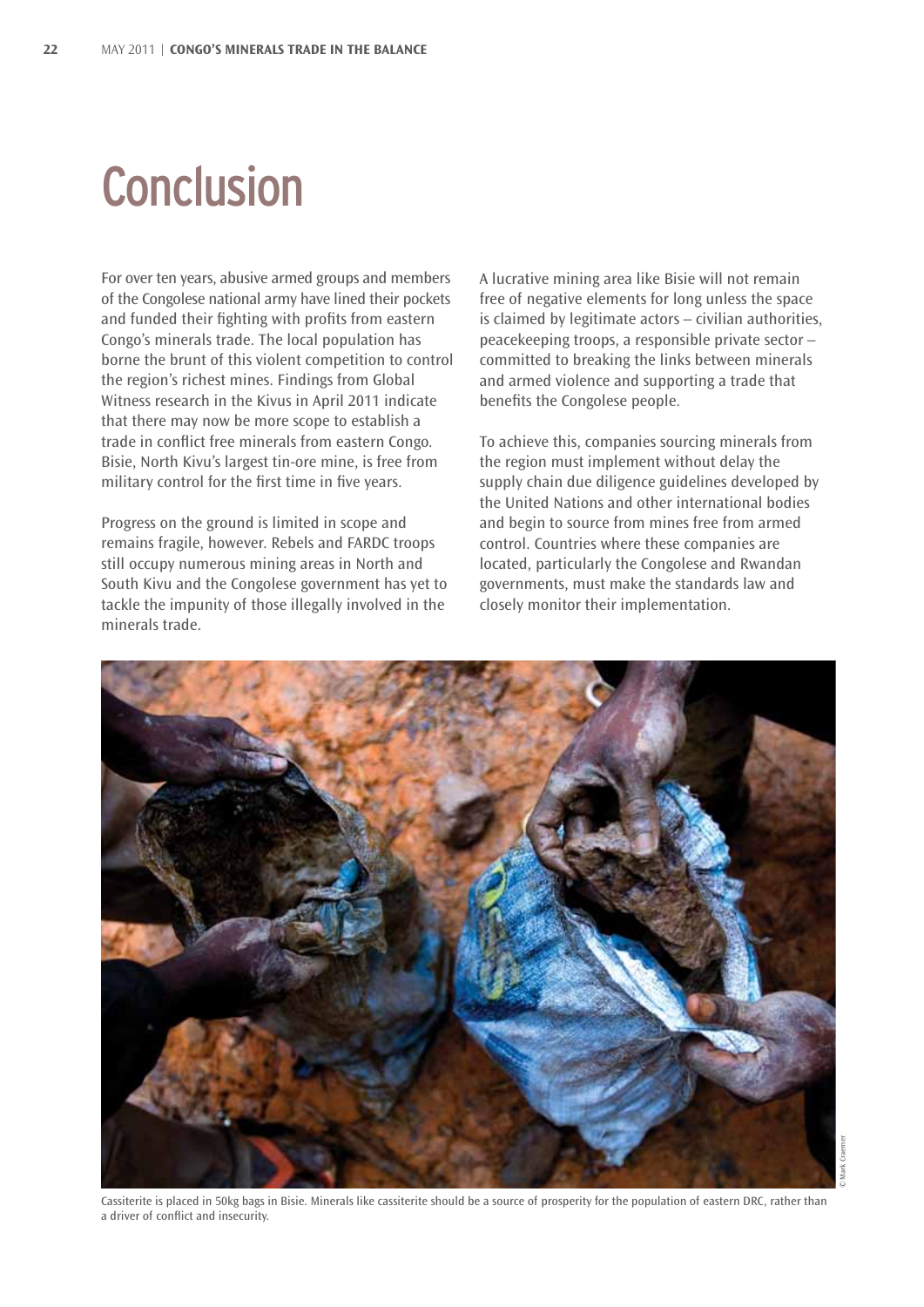### **Conclusion**

For over ten years, abusive armed groups and members of the Congolese national army have lined their pockets and funded their fighting with profits from eastern Congo's minerals trade. The local population has borne the brunt of this violent competition to control the region's richest mines. Findings from Global Witness research in the Kivus in April 2011 indicate that there may now be more scope to establish a trade in conflict free minerals from eastern Congo. Bisie, North Kivu's largest tin-ore mine, is free from military control for the first time in five years.

Progress on the ground is limited in scope and remains fragile, however. Rebels and FARDC troops still occupy numerous mining areas in North and South Kivu and the Congolese government has yet to tackle the impunity of those illegally involved in the minerals trade.

a driver of conflict and insecurity.

A lucrative mining area like Bisie will not remain free of negative elements for long unless the space is claimed by legitimate actors – civilian authorities, peacekeeping troops, a responsible private sector – committed to breaking the links between minerals and armed violence and supporting a trade that benefits the Congolese people.

To achieve this, companies sourcing minerals from the region must implement without delay the supply chain due diligence guidelines developed by the United Nations and other international bodies and begin to source from mines free from armed control. Countries where these companies are located, particularly the Congolese and Rwandan governments, must make the standards law and closely monitor their implementation.



Cassiterite is placed in 50kg bags in Bisie. Minerals like cassiterite should be a source of prosperity for the population of eastern DRC, rather than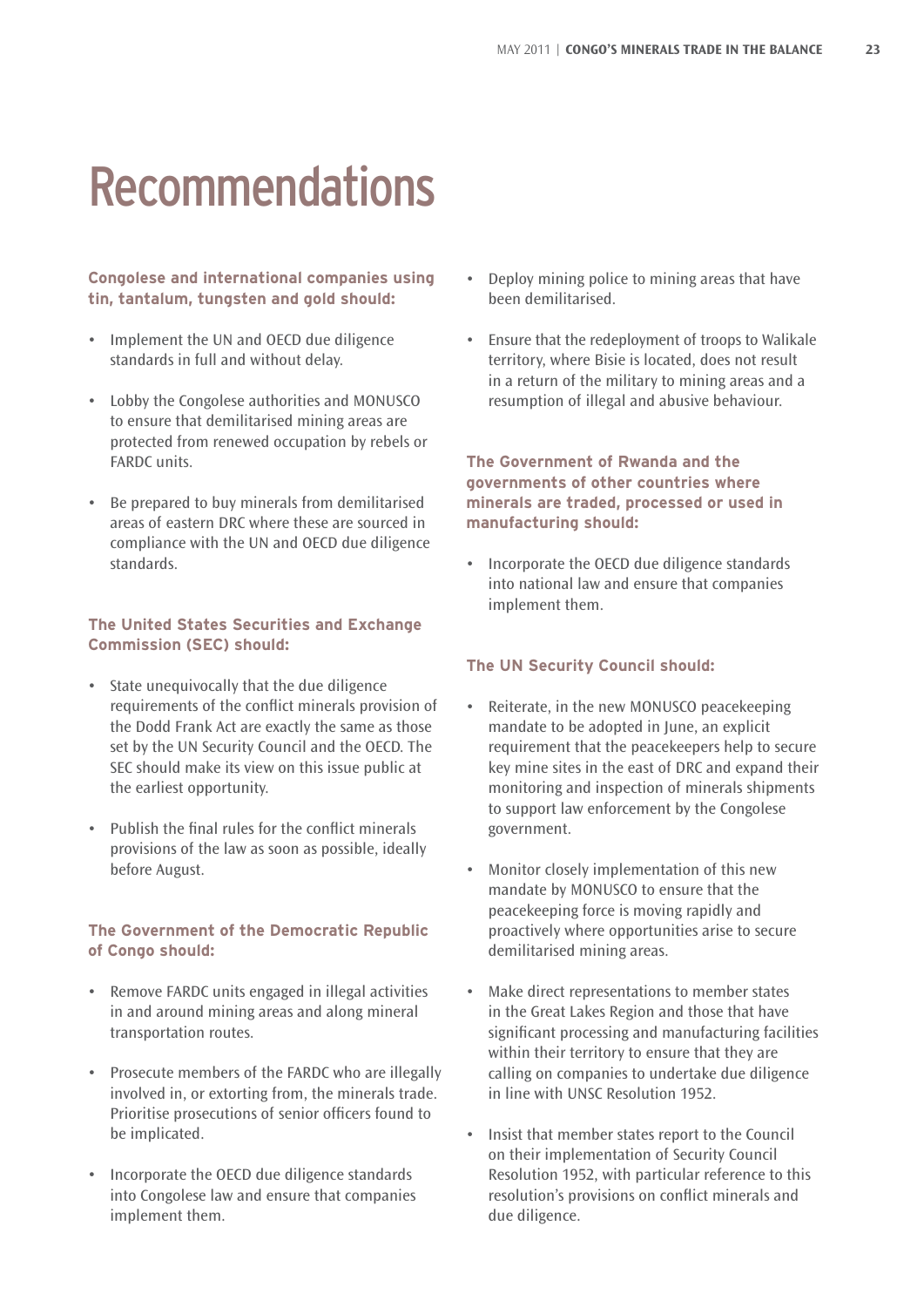### Recommendations

#### **Congolese and international companies using tin, tantalum, tungsten and gold should:**

- Implement the UN and OECD due diligence standards in full and without delay.
- • Lobby the Congolese authorities and MONUSCO to ensure that demilitarised mining areas are protected from renewed occupation by rebels or FARDC units.
- • Be prepared to buy minerals from demilitarised areas of eastern DRC where these are sourced in compliance with the UN and OECD due diligence standards.

#### **The United States Securities and Exchange Commission (SEC) should:**

- • State unequivocally that the due diligence requirements of the conflict minerals provision of the Dodd Frank Act are exactly the same as those set by the UN Security Council and the OECD. The SEC should make its view on this issue public at the earliest opportunity.
- • Publish the final rules for the conflict minerals provisions of the law as soon as possible, ideally before August.

#### **The Government of the Democratic Republic of Congo should:**

- • Remove FARDC units engaged in illegal activities in and around mining areas and along mineral transportation routes.
- • Prosecute members of the FARDC who are illegally involved in, or extorting from, the minerals trade. Prioritise prosecutions of senior officers found to be implicated.
- • Incorporate the OECD due diligence standards into Congolese law and ensure that companies implement them.
- Deploy mining police to mining areas that have been demilitarised.
- Ensure that the redeployment of troops to Walikale territory, where Bisie is located, does not result in a return of the military to mining areas and a resumption of illegal and abusive behaviour.

**The Government of Rwanda and the governments of other countries where minerals are traded, processed or used in manufacturing should:**

Incorporate the OECD due diligence standards into national law and ensure that companies implement them.

#### **The UN Security Council should:**

- Reiterate, in the new MONUSCO peacekeeping mandate to be adopted in June, an explicit requirement that the peacekeepers help to secure key mine sites in the east of DRC and expand their monitoring and inspection of minerals shipments to support law enforcement by the Congolese government.
- Monitor closely implementation of this new mandate by MONUSCO to ensure that the peacekeeping force is moving rapidly and proactively where opportunities arise to secure demilitarised mining areas.
- Make direct representations to member states in the Great Lakes Region and those that have significant processing and manufacturing facilities within their territory to ensure that they are calling on companies to undertake due diligence in line with UNSC Resolution 1952.
- Insist that member states report to the Council on their implementation of Security Council Resolution 1952, with particular reference to this resolution's provisions on conflict minerals and due diligence.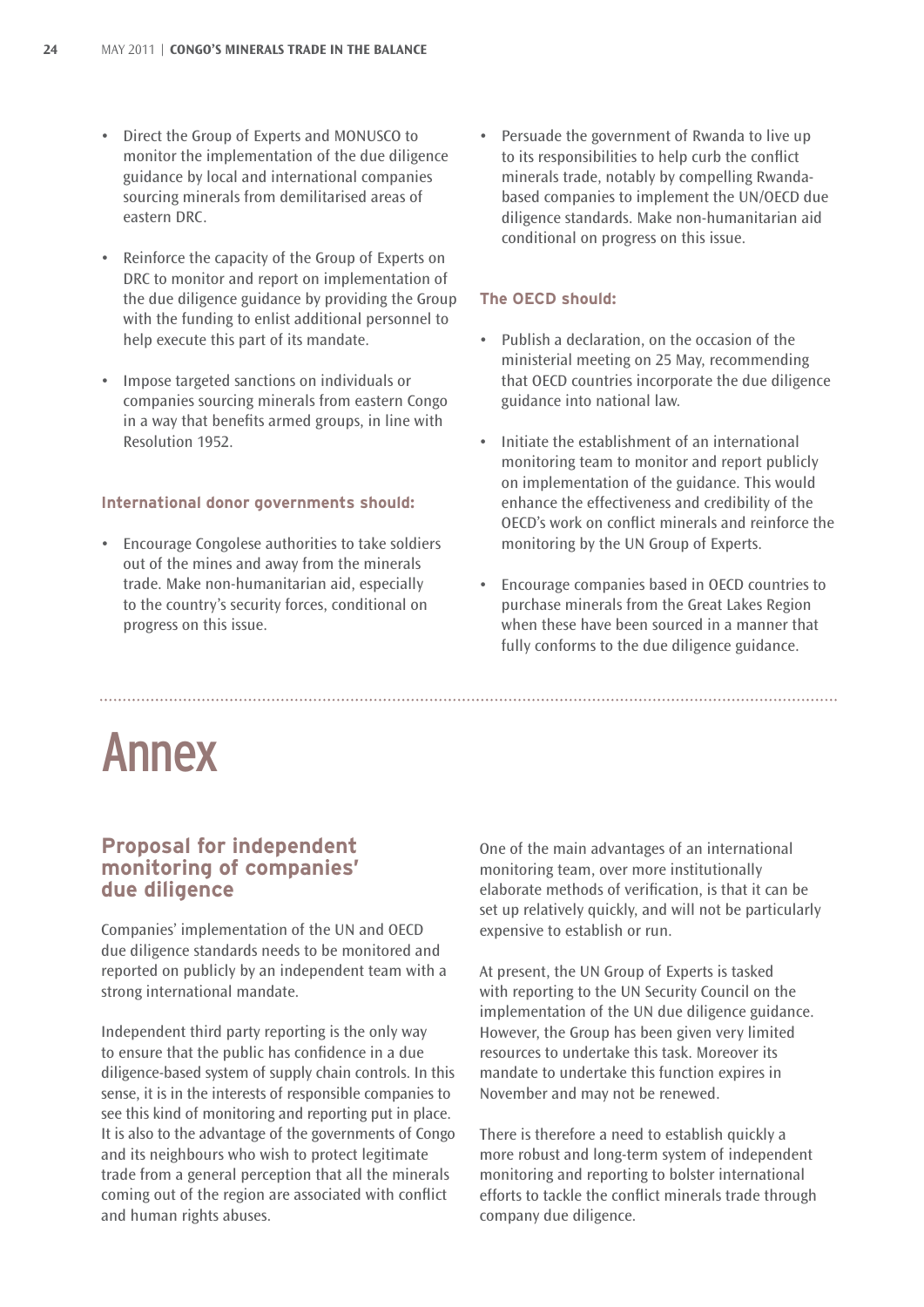- • Direct the Group of Experts and MONUSCO to monitor the implementation of the due diligence guidance by local and international companies sourcing minerals from demilitarised areas of eastern DRC.
- • Reinforce the capacity of the Group of Experts on DRC to monitor and report on implementation of the due diligence guidance by providing the Group with the funding to enlist additional personnel to help execute this part of its mandate.
- • Impose targeted sanctions on individuals or companies sourcing minerals from eastern Congo in a way that benefits armed groups, in line with Resolution 1952.

#### **International donor governments should:**

• Encourage Congolese authorities to take soldiers out of the mines and away from the minerals trade. Make non-humanitarian aid, especially to the country's security forces, conditional on progress on this issue.

Persuade the government of Rwanda to live up to its responsibilities to help curb the conflict minerals trade, notably by compelling Rwandabased companies to implement the UN/OECD due diligence standards. Make non-humanitarian aid conditional on progress on this issue.

#### **The OECD should:**

- • Publish a declaration, on the occasion of the ministerial meeting on 25 May, recommending that OECD countries incorporate the due diligence guidance into national law.
- Initiate the establishment of an international monitoring team to monitor and report publicly on implementation of the guidance. This would enhance the effectiveness and credibility of the OECD's work on conflict minerals and reinforce the monitoring by the UN Group of Experts.
- Encourage companies based in OECD countries to purchase minerals from the Great Lakes Region when these have been sourced in a manner that fully conforms to the due diligence guidance.

### Annex

#### **Proposal for independent monitoring of companies' due diligence**

Companies' implementation of the UN and OECD due diligence standards needs to be monitored and reported on publicly by an independent team with a strong international mandate.

Independent third party reporting is the only way to ensure that the public has confidence in a due diligence-based system of supply chain controls. In this sense, it is in the interests of responsible companies to see this kind of monitoring and reporting put in place. It is also to the advantage of the governments of Congo and its neighbours who wish to protect legitimate trade from a general perception that all the minerals coming out of the region are associated with conflict and human rights abuses.

One of the main advantages of an international monitoring team, over more institutionally elaborate methods of verification, is that it can be set up relatively quickly, and will not be particularly expensive to establish or run.

At present, the UN Group of Experts is tasked with reporting to the UN Security Council on the implementation of the UN due diligence guidance. However, the Group has been given very limited resources to undertake this task. Moreover its mandate to undertake this function expires in November and may not be renewed.

There is therefore a need to establish quickly a more robust and long-term system of independent monitoring and reporting to bolster international efforts to tackle the conflict minerals trade through company due diligence.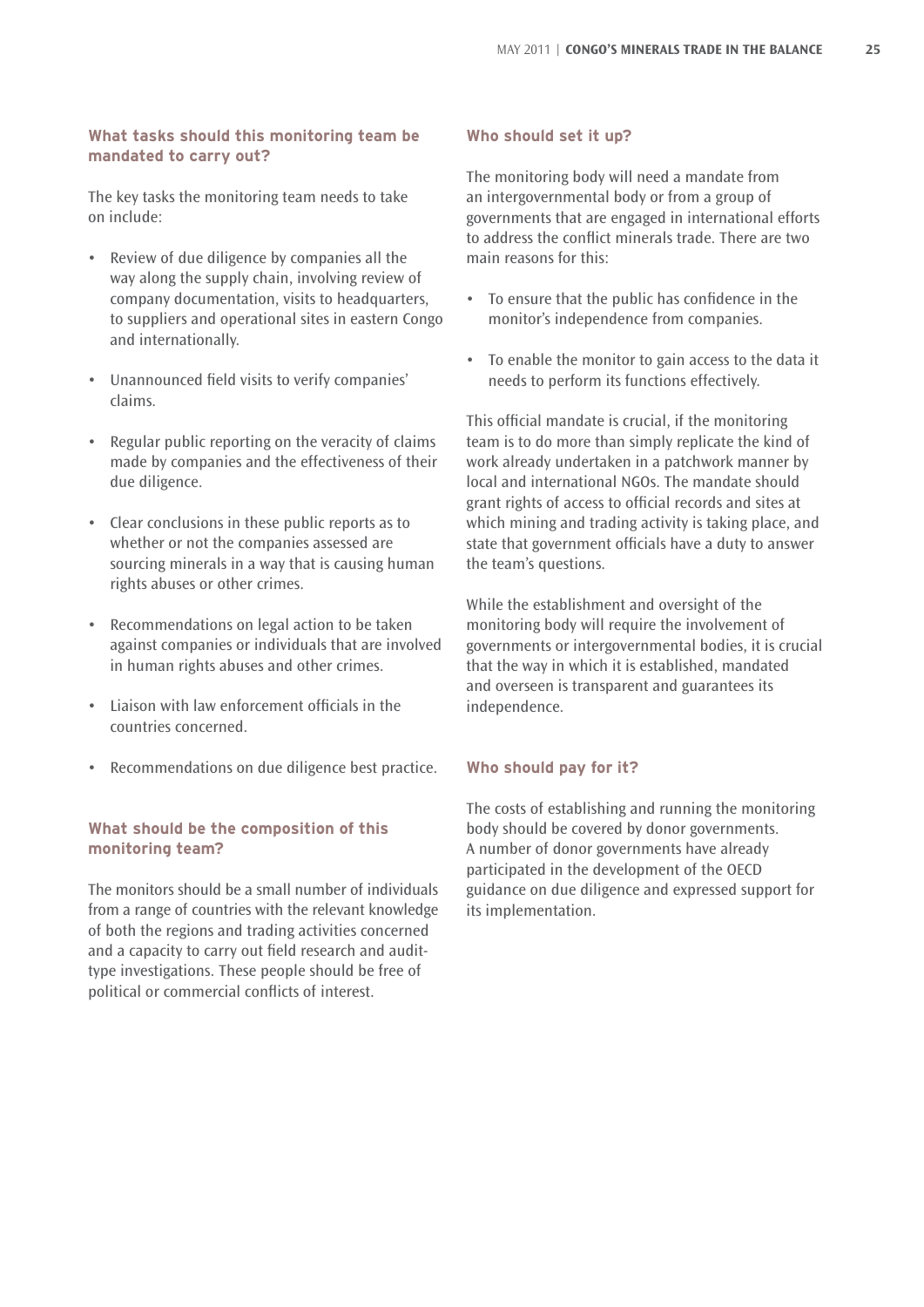#### **What tasks should this monitoring team be mandated to carry out?**

The key tasks the monitoring team needs to take on include:

- • Review of due diligence by companies all the way along the supply chain, involving review of company documentation, visits to headquarters, to suppliers and operational sites in eastern Congo and internationally.
- • Unannounced field visits to verify companies' claims.
- • Regular public reporting on the veracity of claims made by companies and the effectiveness of their due diligence.
- • Clear conclusions in these public reports as to whether or not the companies assessed are sourcing minerals in a way that is causing human rights abuses or other crimes.
- Recommendations on legal action to be taken against companies or individuals that are involved in human rights abuses and other crimes.
- • Liaison with law enforcement officials in the countries concerned.
- • Recommendations on due diligence best practice.

#### **What should be the composition of this monitoring team?**

The monitors should be a small number of individuals from a range of countries with the relevant knowledge of both the regions and trading activities concerned and a capacity to carry out field research and audittype investigations. These people should be free of political or commercial conflicts of interest.

#### **Who should set it up?**

The monitoring body will need a mandate from an intergovernmental body or from a group of governments that are engaged in international efforts to address the conflict minerals trade. There are two main reasons for this:

- • To ensure that the public has confidence in the monitor's independence from companies.
- • To enable the monitor to gain access to the data it needs to perform its functions effectively.

This official mandate is crucial, if the monitoring team is to do more than simply replicate the kind of work already undertaken in a patchwork manner by local and international NGOs. The mandate should grant rights of access to official records and sites at which mining and trading activity is taking place, and state that government officials have a duty to answer the team's questions.

While the establishment and oversight of the monitoring body will require the involvement of governments or intergovernmental bodies, it is crucial that the way in which it is established, mandated and overseen is transparent and guarantees its independence.

#### **Who should pay for it?**

The costs of establishing and running the monitoring body should be covered by donor governments. A number of donor governments have already participated in the development of the OECD guidance on due diligence and expressed support for its implementation.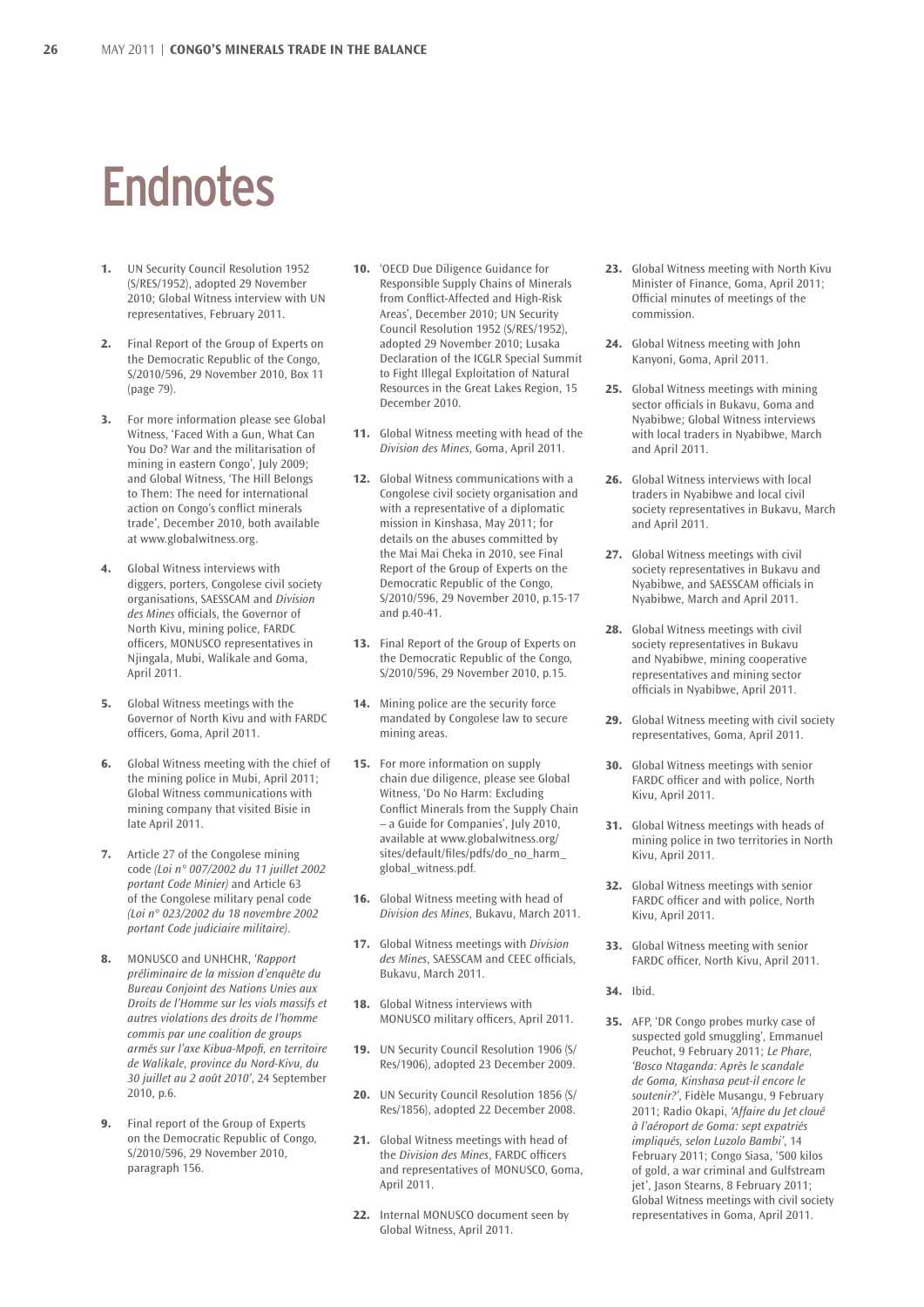### **Endnotes**

- **1.** UN Security Council Resolution 1952 (S/RES/1952), adopted 29 November 2010; Global Witness interview with UN representatives, February 2011.
- **2.** Final Report of the Group of Experts on the Democratic Republic of the Congo, S/2010/596, 29 November 2010, Box 11 (page 79).
- **3.** For more information please see Global Witness, 'Faced With a Gun, What Can You Do? War and the militarisation of mining in eastern Congo', July 2009; and Global Witness, 'The Hill Belongs to Them: The need for international action on Congo's conflict minerals trade', December 2010, both available at www.globalwitness.org.
- **4.** Global Witness interviews with diggers, porters, Congolese civil society organisations, SAESSCAM and *Division des Mines* officials, the Governor of North Kivu, mining police, FARDC officers, MONUSCO representatives in Njingala, Mubi, Walikale and Goma, April 2011.
- **5.** Global Witness meetings with the Governor of North Kivu and with FARDC officers, Goma, April 2011.
- **6.** Global Witness meeting with the chief of the mining police in Mubi, April 2011; Global Witness communications with mining company that visited Bisie in late April 2011.
- **7.** Article 27 of the Congolese mining code *(Loi n° 007/2002 du 11 juillet 2002 portant Code Minier)* and Article 63 of the Congolese military penal code *(Loi n° 023/2002 du 18 novembre 2002 portant Code judiciaire militaire)*.
- **8.** MONUSCO and UNHCHR, *'Rapport préliminaire de la mission d'enquête du Bureau Conjoint des Nations Unies aux Droits de l'Homme sur les viols massifs et autres violations des droits de l'homme commis par une coalition de groups armés sur l'axe Kibua-Mpofi, en territoire de Walikale, province du Nord-Kivu, du 30 juillet au 2 août 2010'*, 24 September 2010, p.6.
- **9.** Final report of the Group of Experts on the Democratic Republic of Congo, S/2010/596, 29 November 2010, paragraph 156.
- **10.** 'OECD Due Diligence Guidance for Responsible Supply Chains of Minerals from Conflict-Affected and High-Risk Areas', December 2010; UN Security Council Resolution 1952 (S/RES/1952), adopted 29 November 2010; Lusaka Declaration of the ICGLR Special Summit to Fight Illegal Exploitation of Natural Resources in the Great Lakes Region, 15 December 2010.
- **11.** Global Witness meeting with head of the *Division des Mines*, Goma, April 2011.
- **12.** Global Witness communications with a Congolese civil society organisation and with a representative of a diplomatic mission in Kinshasa, May 2011; for details on the abuses committed by the Mai Mai Cheka in 2010, see Final Report of the Group of Experts on the Democratic Republic of the Congo, S/2010/596, 29 November 2010, p.15-17 and p.40-41.
- **13.** Final Report of the Group of Experts on the Democratic Republic of the Congo, S/2010/596, 29 November 2010, p.15.
- **14.** Mining police are the security force mandated by Congolese law to secure mining areas.
- **15.** For more information on supply chain due diligence, please see Global Witness, 'Do No Harm: Excluding Conflict Minerals from the Supply Chain – a Guide for Companies', July 2010, available at www.globalwitness.org/ sites/default/files/pdfs/do\_no\_harm\_ global\_witness.pdf.
- **16.** Global Witness meeting with head of *Division des Mines*, Bukavu, March 2011.
- **17.** Global Witness meetings with *Division des Mines*, SAESSCAM and CEEC officials, Bukavu, March 2011.
- **18.** Global Witness interviews with MONUSCO military officers, April 2011.
- **19.** UN Security Council Resolution 1906 (S/ Res/1906), adopted 23 December 2009.
- **20.** UN Security Council Resolution 1856 (S/ Res/1856), adopted 22 December 2008.
- **21.** Global Witness meetings with head of the *Division des Mines*, FARDC officers and representatives of MONUSCO, Goma, April 2011.
- **22.** Internal MONUSCO document seen by Global Witness, April 2011.
- **23.** Global Witness meeting with North Kivu Minister of Finance, Goma, April 2011; Official minutes of meetings of the commission.
- **24.** Global Witness meeting with John Kanyoni, Goma, April 2011.
- **25.** Global Witness meetings with mining sector officials in Bukavu, Goma and Nyabibwe; Global Witness interviews with local traders in Nyabibwe, March and April 2011.
- **26.** Global Witness interviews with local traders in Nyabibwe and local civil society representatives in Bukavu, March and April 2011.
- **27.** Global Witness meetings with civil society representatives in Bukavu and Nyabibwe, and SAESSCAM officials in Nyabibwe, March and April 2011.
- **28.** Global Witness meetings with civil society representatives in Bukavu and Nyabibwe, mining cooperative representatives and mining sector officials in Nyabibwe, April 2011.
- **29.** Global Witness meeting with civil society representatives, Goma, April 2011.
- **30.** Global Witness meetings with senior FARDC officer and with police, North Kivu, April 2011.
- **31.** Global Witness meetings with heads of mining police in two territories in North Kivu, April 2011.
- **32.** Global Witness meetings with senior FARDC officer and with police, North Kivu, April 2011.
- **33.** Global Witness meeting with senior FARDC officer, North Kivu, April 2011.
- **34.** Ibid.
- **35.** AFP, 'DR Congo probes murky case of suspected gold smuggling', Emmanuel Peuchot, 9 February 2011; *Le Phare, 'Bosco Ntaganda: Après le scandale de Goma, Kinshasa peut-il encore le soutenir?'*, Fidèle Musangu, 9 February 2011; Radio Okapi, *'Affaire du Jet cloué à l'aéroport de Goma: sept expatriés impliqués, selon Luzolo Bambi'*, 14 February 2011; Congo Siasa, '500 kilos of gold, a war criminal and Gulfstream jet', Jason Stearns, 8 February 2011; Global Witness meetings with civil society representatives in Goma, April 2011.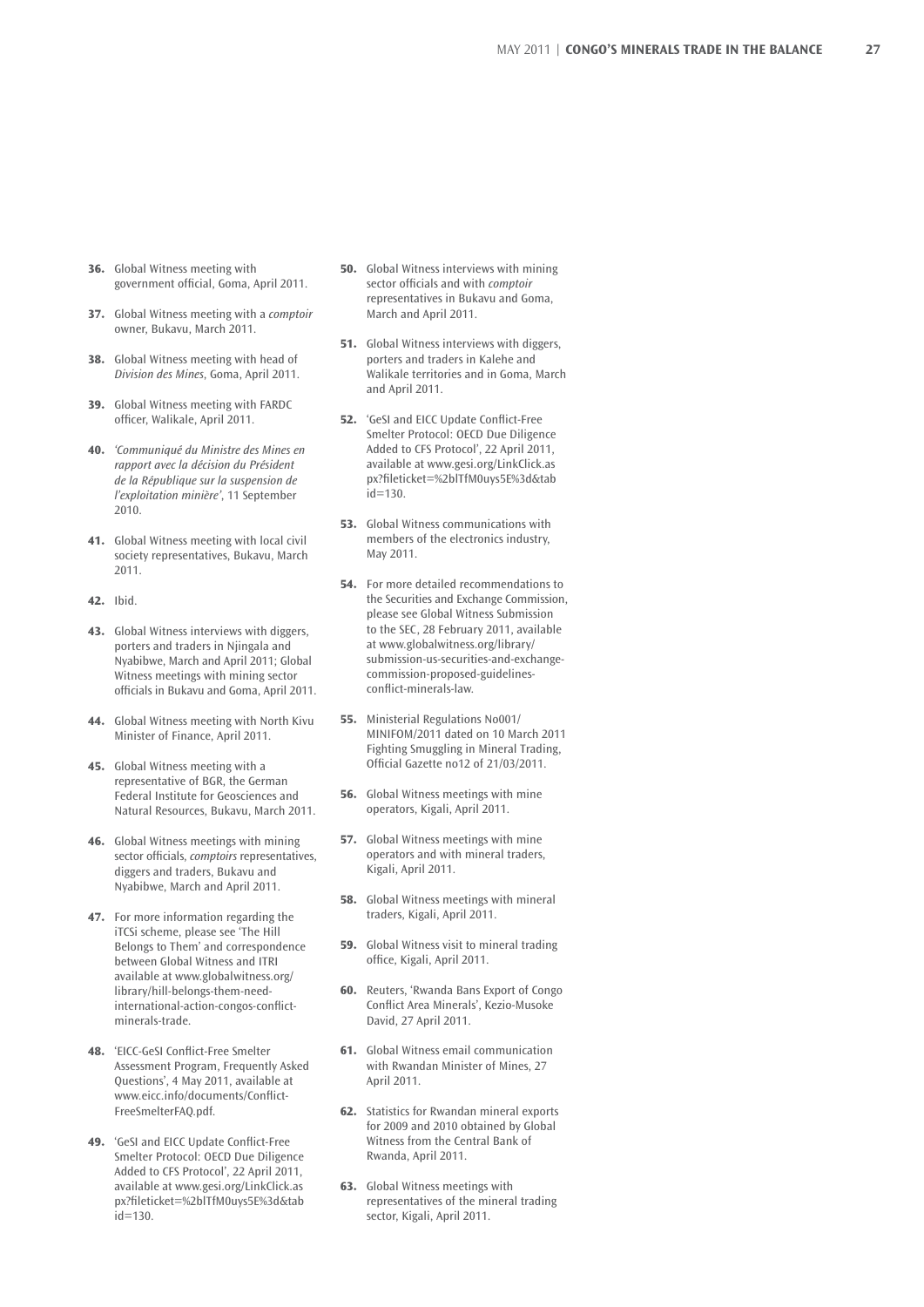- **36.** Global Witness meeting with government official, Goma, April 2011.
- **37.** Global Witness meeting with a *comptoir* owner, Bukavu, March 2011.
- **38.** Global Witness meeting with head of *Division des Mines*, Goma, April 2011.
- **39.** Global Witness meeting with FARDC officer, Walikale, April 2011.
- **40.** *'Communiqué du Ministre des Mines en rapport avec la décision du Président de la République sur la suspension de l'exploitation minière'*, 11 September 2010.
- **41.** Global Witness meeting with local civil society representatives, Bukavu, March 2011.
- **42.** Ibid.
- **43.** Global Witness interviews with diggers, porters and traders in Njingala and Nyabibwe, March and April 2011; Global Witness meetings with mining sector officials in Bukavu and Goma, April 2011.
- **44.** Global Witness meeting with North Kivu Minister of Finance, April 2011.
- **45.** Global Witness meeting with a representative of BGR, the German Federal Institute for Geosciences and Natural Resources, Bukavu, March 2011.
- **46.** Global Witness meetings with mining sector officials, *comptoirs* representatives, diggers and traders, Bukavu and Nyabibwe, March and April 2011.
- **47.** For more information regarding the iTCSi scheme, please see 'The Hill Belongs to Them' and correspondence between Global Witness and ITRI available at www.globalwitness.org/ library/hill-belongs-them-needinternational-action-congos-conflictminerals-trade.
- **48.** 'EICC-GeSI Conflict-Free Smelter Assessment Program, Frequently Asked Questions', 4 May 2011, available at www.eicc.info/documents/Conflict-FreeSmelterFAQ.pdf.
- **49.** 'GeSI and EICC Update Conflict-Free Smelter Protocol: OECD Due Diligence Added to CFS Protocol', 22 April 2011, available at www.gesi.org/LinkClick.as px?fileticket=%2blTfM0uys5E%3d&tab  $id = 130$ .
- **50.** Global Witness interviews with mining sector officials and with *comptoir*  representatives in Bukavu and Goma, March and April 2011.
- **51.** Global Witness interviews with diggers, porters and traders in Kalehe and Walikale territories and in Goma, March and April 2011.
- **52.** 'GeSI and EICC Update Conflict-Free Smelter Protocol: OECD Due Diligence Added to CFS Protocol', 22 April 2011, available at www.gesi.org/LinkClick.as px?fileticket=%2blTfM0uys5E%3d&tab  $i = 130$
- **53.** Global Witness communications with members of the electronics industry, May 2011.
- **54.** For more detailed recommendations to the Securities and Exchange Commission, please see Global Witness Submission to the SEC, 28 February 2011, available at www.globalwitness.org/library/ submission-us-securities-and-exchangecommission-proposed-guidelinesconflict-minerals-law.
- **55.** Ministerial Regulations No001/ MINIFOM/2011 dated on 10 March 2011 Fighting Smuggling in Mineral Trading, Official Gazette no12 of 21/03/2011.
- **56.** Global Witness meetings with mine operators, Kigali, April 2011.
- **57.** Global Witness meetings with mine operators and with mineral traders, Kigali, April 2011.
- **58.** Global Witness meetings with mineral traders, Kigali, April 2011.
- **59.** Global Witness visit to mineral trading office, Kigali, April 2011.
- **60.** Reuters, 'Rwanda Bans Export of Congo Conflict Area Minerals', Kezio-Musoke David, 27 April 2011.
- **61.** Global Witness email communication with Rwandan Minister of Mines, 27 April 2011.
- **62.** Statistics for Rwandan mineral exports for 2009 and 2010 obtained by Global Witness from the Central Bank of Rwanda, April 2011.
- **63.** Global Witness meetings with representatives of the mineral trading sector, Kigali, April 2011.